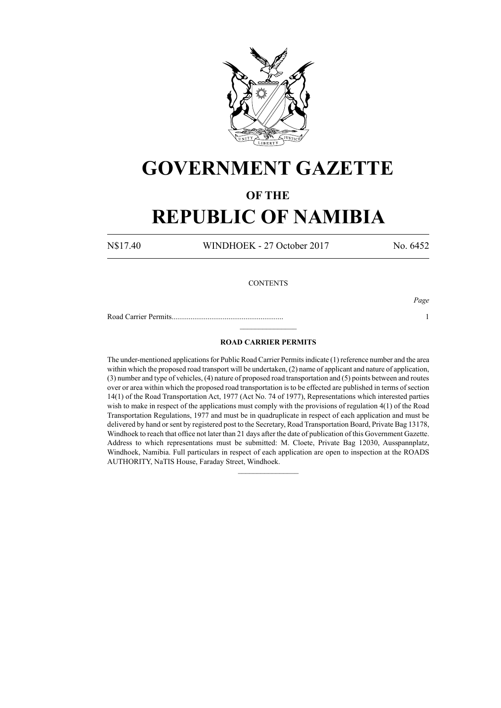

## **GOVERNMENT GAZETTE**

### **OF THE**

# **REPUBLIC OF NAMIBIA**

N\$17.40 WINDHOEK - 27 October 2017 No. 6452

### **CONTENTS**

Road Carrier Permits........................................................... 1

*Page*

#### **ROAD CARRIER PERMITS**

 $\frac{1}{2}$ 

The under-mentioned applications for Public Road Carrier Permits indicate (1) reference number and the area within which the proposed road transport will be undertaken, (2) name of applicant and nature of application, (3) number and type of vehicles, (4) nature of proposed road transportation and (5) points between and routes over or area within which the proposed road transportation is to be effected are published in terms of section 14(1) of the Road Transportation Act, 1977 (Act No. 74 of 1977), Representations which interested parties wish to make in respect of the applications must comply with the provisions of regulation 4(1) of the Road Transportation Regulations, 1977 and must be in quadruplicate in respect of each application and must be delivered by hand or sent by registered post to the Secretary, Road Transportation Board, Private Bag 13178, Windhoek to reach that office not later than 21 days after the date of publication of this Government Gazette. Address to which representations must be submitted: M. Cloete, Private Bag 12030, Ausspannplatz, Windhoek, Namibia. Full particulars in respect of each application are open to inspection at the ROADS AUTHORITY, NaTIS House, Faraday Street, Windhoek.

 $\frac{1}{2}$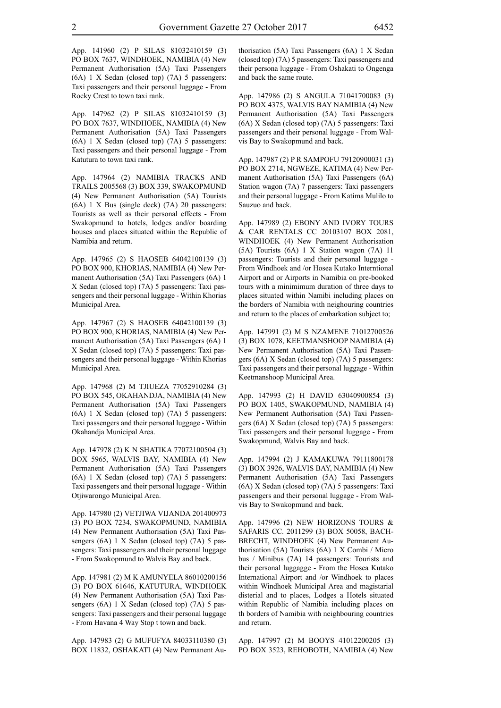App. 141960 (2) P SILAS 81032410159 (3) PO BOX 7637, WINDHOEK, NAMIBIA (4) New Permanent Authorisation (5A) Taxi Passengers (6A) 1 X Sedan (closed top) (7A) 5 passengers: Taxi passengers and their personal luggage - From Rocky Crest to town taxi rank.

App. 147962 (2) P SILAS 81032410159 (3) PO BOX 7637, WINDHOEK, NAMIBIA (4) New Permanent Authorisation (5A) Taxi Passengers (6A) 1 X Sedan (closed top) (7A) 5 passengers: Taxi passengers and their personal luggage - From Katutura to town taxi rank.

App. 147964 (2) NAMIBIA TRACKS AND TRAILS 2005568 (3) BOX 339, SWAKOPMUND (4) New Permanent Authorisation (5A) Tourists (6A) 1 X Bus (single deck) (7A) 20 passengers: Tourists as well as their personal effects - From Swakopmund to hotels, lodges and/or boarding houses and places situated within the Republic of Namibia and return.

App. 147965 (2) S HAOSEB 64042100139 (3) PO BOX 900, KHORIAS, NAMIBIA (4) New Permanent Authorisation (5A) Taxi Passengers (6A) 1 X Sedan (closed top) (7A) 5 passengers: Taxi passengers and their personal luggage - Within Khorias Municipal Area.

App. 147967 (2) S HAOSEB 64042100139 (3) PO BOX 900, KHORIAS, NAMIBIA (4) New Permanent Authorisation (5A) Taxi Passengers (6A) 1 X Sedan (closed top) (7A) 5 passengers: Taxi passengers and their personal luggage - Within Khorias Municipal Area.

App. 147968 (2) M TJIUEZA 77052910284 (3) PO BOX 545, OKAHANDJA, NAMIBIA (4) New Permanent Authorisation (5A) Taxi Passengers (6A) 1 X Sedan (closed top) (7A) 5 passengers: Taxi passengers and their personal luggage - Within Okahandja Municipal Area.

App. 147978 (2) K N SHATIKA 77072100504 (3) BOX 5965, WALVIS BAY, NAMIBIA (4) New Permanent Authorisation (5A) Taxi Passengers (6A) 1 X Sedan (closed top) (7A) 5 passengers: Taxi passengers and their personal luggage - Within Otjiwarongo Municipal Area.

App. 147980 (2) VETJIWA VIJANDA 201400973 (3) PO BOX 7234, SWAKOPMUND, NAMIBIA (4) New Permanent Authorisation (5A) Taxi Passengers (6A) 1 X Sedan (closed top) (7A) 5 passengers: Taxi passengers and their personal luggage - From Swakopmund to Walvis Bay and back.

App. 147981 (2) M K AMUNYELA 86010200156 (3) PO BOX 61646, KATUTURA, WINDHOEK (4) New Permanent Authorisation (5A) Taxi Passengers (6A) 1 X Sedan (closed top) (7A) 5 passengers: Taxi passengers and their personal luggage - From Havana 4 Way Stop t town and back.

App. 147983 (2) G MUFUFYA 84033110380 (3) BOX 11832, OSHAKATI (4) New Permanent Authorisation (5A) Taxi Passengers (6A) 1 X Sedan (closed top) (7A) 5 passengers: Taxi passengers and their persona luggage - From Oshakati to Ongenga and back the same route.

App. 147986 (2) S ANGULA 71041700083 (3) PO BOX 4375, WALVIS BAY NAMIBIA (4) New Permanent Authorisation (5A) Taxi Passengers (6A) X Sedan (closed top) (7A) 5 passengers: Taxi passengers and their personal luggage - From Walvis Bay to Swakopmund and back.

App. 147987 (2) P R SAMPOFU 79120900031 (3) PO BOX 2714, NGWEZE, KATIMA (4) New Permanent Authorisation (5A) Taxi Passengers (6A) Station wagon (7A) 7 passengers: Taxi passengers and their personal luggage - From Katima Mulilo to Sauzuo and back.

App. 147989 (2) EBONY AND IVORY TOURS & CAR RENTALS CC 20103107 BOX 2081, WINDHOEK (4) New Permanent Authorisation (5A) Tourists (6A) 1 X Station wagon (7A) 11 passengers: Tourists and their personal luggage - From Windhoek and /or Hosea Kutako Interntional Airport and or Airports in Namibia on pre-booked tours with a minimimum duration of three days to places situated within Namibi including places on the borders of Namibia with neighouring countries and return to the places of embarkation subject to;

App. 147991 (2) M S NZAMENE 71012700526 (3) BOX 1078, KEETMANSHOOP NAMIBIA (4) New Permanent Authorisation (5A) Taxi Passengers (6A) X Sedan (closed top) (7A) 5 passengers: Taxi passengers and their personal luggage - Within Keetmanshoop Municipal Area.

App. 147993 (2) H DAVID 63040900854 (3) PO BOX 1405, SWAKOPMUND, NAMIBIA (4) New Permanent Authorisation (5A) Taxi Passengers (6A) X Sedan (closed top) (7A) 5 passengers: Taxi passengers and their personal luggage - From Swakopmund, Walvis Bay and back.

App. 147994 (2) J KAMAKUWA 79111800178 (3) BOX 3926, WALVIS BAY, NAMIBIA (4) New Permanent Authorisation (5A) Taxi Passengers (6A) X Sedan (closed top) (7A) 5 passengers: Taxi passengers and their personal luggage - From Walvis Bay to Swakopmund and back.

App. 147996 (2) NEW HORIZONS TOURS & SAFARIS CC. 2011299 (3) BOX 50058, BACH-BRECHT, WINDHOEK (4) New Permanent Authorisation (5A) Tourists (6A) 1 X Combi / Micro bus / Minibus (7A) 14 passengers: Tourists and their personal luggagge - From the Hosea Kutako International Airport and /or Windhoek to places within Windhoek Municipal Area and magistarial disterial and to places, Lodges a Hotels situated within Republic of Namibia including places on th borders of Namibia with neighbouring countries and return.

App. 147997 (2) M BOOYS 41012200205 (3) PO BOX 3523, REHOBOTH, NAMIBIA (4) New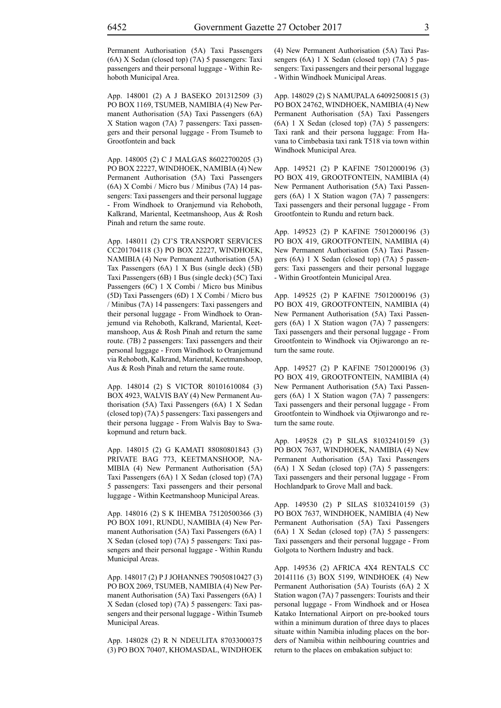Permanent Authorisation (5A) Taxi Passengers (6A) X Sedan (closed top) (7A) 5 passengers: Taxi passengers and their personal luggage - Within Rehoboth Municipal Area.

App. 148001 (2) A J BASEKO 201312509 (3) PO BOX 1169, TSUMEB, NAMIBIA (4) New Permanent Authorisation (5A) Taxi Passengers (6A) X Station wagon (7A) 7 passengers: Taxi passengers and their personal luggage - From Tsumeb to Grootfontein and back

App. 148005 (2) C J MALGAS 86022700205 (3) PO BOX 22227, WINDHOEK, NAMIBIA (4) New Permanent Authorisation (5A) Taxi Passengers (6A) X Combi / Micro bus / Minibus (7A) 14 passengers: Taxi passengers and their personal luggage - From Windhoek to Oranjemund via Rehoboth, Kalkrand, Mariental, Keetmanshoop, Aus & Rosh Pinah and return the same route.

App. 148011 (2) CJ'S TRANSPORT SERVICES CC201704118 (3) PO BOX 22227, WINDHOEK, NAMIBIA (4) New Permanent Authorisation (5A) Tax Passengers (6A) 1 X Bus (single deck) (5B) Taxi Passengers (6B) 1 Bus (single deck) (5C) Taxi Passengers (6C) 1 X Combi / Micro bus Minibus (5D) Taxi Passengers (6D) 1 X Combi / Micro bus / Minibus (7A) 14 passengers: Taxi passengers and their personal luggage - From Windhoek to Oranjemund via Rehoboth, Kalkrand, Mariental, Keetmanshoop, Aus & Rosh Pinah and return the same route. (7B) 2 passengers: Taxi passengers and their personal luggage - From Windhoek to Oranjemund via Rehoboth, Kalkrand, Mariental, Keetmanshoop, Aus & Rosh Pinah and return the same route.

App. 148014 (2) S VICTOR 80101610084 (3) BOX 4923, WALVIS BAY (4) New Permanent Authorisation (5A) Taxi Passengers (6A) 1 X Sedan (closed top) (7A) 5 passengers: Taxi passengers and their persona luggage - From Walvis Bay to Swakopmund and return back.

App. 148015 (2) G KAMATI 88080801843 (3) PRIVATE BAG 773, KEETMANSHOOP, NA-MIBIA (4) New Permanent Authorisation (5A) Taxi Passengers (6A) 1 X Sedan (closed top) (7A) 5 passengers: Taxi passengers and their personal luggage - Within Keetmanshoop Municipal Areas.

App. 148016 (2) S K IHEMBA 75120500366 (3) PO BOX 1091, RUNDU, NAMIBIA (4) New Permanent Authorisation (5A) Taxi Passengers (6A) 1 X Sedan (closed top) (7A) 5 passengers: Taxi passengers and their personal luggage - Within Rundu Municipal Areas.

App. 148017 (2) P J JOHANNES 79050810427 (3) PO BOX 2069, TSUMEB, NAMIBIA (4) New Permanent Authorisation (5A) Taxi Passengers (6A) 1 X Sedan (closed top) (7A) 5 passengers: Taxi passengers and their personal luggage - Within Tsumeb Municipal Areas.

App. 148028 (2) R N NDEULITA 87033000375 (3) PO BOX 70407, KHOMASDAL, WINDHOEK (4) New Permanent Authorisation (5A) Taxi Passengers (6A) 1 X Sedan (closed top) (7A) 5 passengers: Taxi passengers and their personal luggage - Within Windhoek Municipal Areas.

App. 148029 (2) S NAMUPALA 64092500815 (3) PO BOX 24762, WINDHOEK, NAMIBIA (4) New Permanent Authorisation (5A) Taxi Passengers (6A) 1 X Sedan (closed top) (7A) 5 passengers: Taxi rank and their persona luggage: From Havana to Cimbebasia taxi rank T518 via town within Windhoek Municipal Area.

App. 149521 (2) P KAFINE 75012000196 (3) PO BOX 419, GROOTFONTEIN, NAMIBIA (4) New Permanent Authorisation (5A) Taxi Passengers (6A) 1 X Station wagon (7A) 7 passengers: Taxi passengers and their personal luggage - From Grootfontein to Rundu and return back.

App. 149523 (2) P KAFINE 75012000196 (3) PO BOX 419, GROOTFONTEIN, NAMIBIA (4) New Permanent Authorisation (5A) Taxi Passengers (6A) 1 X Sedan (closed top) (7A) 5 passengers: Taxi passengers and their personal luggage - Within Grootfontein Municipal Area.

App. 149525 (2) P KAFINE 75012000196 (3) PO BOX 419, GROOTFONTEIN, NAMIBIA (4) New Permanent Authorisation (5A) Taxi Passengers (6A) 1 X Station wagon (7A) 7 passengers: Taxi passengers and their personal luggage - From Grootfontein to Windhoek via Otjiwarongo an return the same route.

App. 149527 (2) P KAFINE 75012000196 (3) PO BOX 419, GROOTFONTEIN, NAMIBIA (4) New Permanent Authorisation (5A) Taxi Passengers (6A) 1 X Station wagon (7A) 7 passengers: Taxi passengers and their personal luggage - From Grootfontein to Windhoek via Otjiwarongo and return the same route.

App. 149528 (2) P SILAS 81032410159 (3) PO BOX 7637, WINDHOEK, NAMIBIA (4) New Permanent Authorisation (5A) Taxi Passengers (6A) 1 X Sedan (closed top) (7A) 5 passengers: Taxi passengers and their personal luggage - From Hochlandpark to Grove Mall and back.

App. 149530 (2) P SILAS 81032410159 (3) PO BOX 7637, WINDHOEK, NAMIBIA (4) New Permanent Authorisation (5A) Taxi Passengers (6A) 1 X Sedan (closed top) (7A) 5 passengers: Taxi passengers and their personal luggage - From Golgota to Northern Industry and back.

App. 149536 (2) AFRICA 4X4 RENTALS CC 20141116 (3) BOX 5199, WINDHOEK (4) New Permanent Authorisation (5A) Tourists (6A) 2 X Station wagon (7A) 7 passengers: Tourists and their personal luggage - From Windhoek and or Hosea Katako International Airport on pre-booked tours within a minimum duration of three days to places situate within Namibia inluding places on the borders of Namibia within neihbouring countries and return to the places on embakation subjuct to: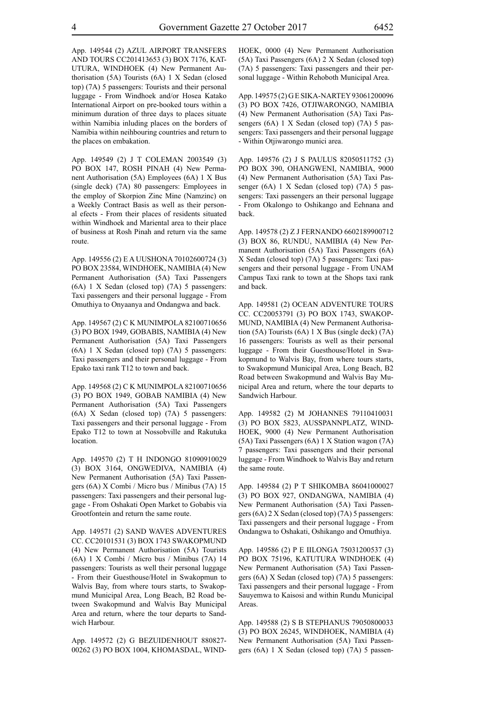App. 149544 (2) AZUL AIRPORT TRANSFERS AND TOURS CC201413653 (3) BOX 7176, KAT-UTURA, WINDHOEK (4) New Permanent Authorisation (5A) Tourists (6A) 1 X Sedan (closed top) (7A) 5 passengers: Tourists and their personal luggage - From Windhoek and/or Hosea Katako International Airport on pre-booked tours within a minimum duration of three days to places situate within Namibia inluding places on the borders of Namibia within neihbouring countries and return to the places on embakation.

App. 149549 (2) J T COLEMAN 2003549 (3) PO BOX 147, ROSH PINAH (4) New Permanent Authorisation (5A) Employees (6A) 1 X Bus (single deck) (7A) 80 passengers: Employees in the employ of Skorpion Zinc Mine (Namzinc) on a Weekly Contract Basis as well as their personal efects - From their places of residents situated within Windhoek and Mariental area to their place of business at Rosh Pinah and return via the same route.

App. 149556 (2) E A UUSHONA 70102600724 (3) PO BOX 23584, WINDHOEK, NAMIBIA (4) New Permanent Authorisation (5A) Taxi Passengers (6A) 1 X Sedan (closed top) (7A) 5 passengers: Taxi passengers and their personal luggage - From Omuthiya to Onyaanya and Ondangwa and back.

App. 149567 (2) C K MUNIMPOLA 82100710656 (3) PO BOX 1949, GOBABIS, NAMIBIA (4) New Permanent Authorisation (5A) Taxi Passengers (6A) 1 X Sedan (closed top) (7A) 5 passengers: Taxi passengers and their personal luggage - From Epako taxi rank T12 to town and back.

App. 149568 (2) C K MUNIMPOLA 82100710656 (3) PO BOX 1949, GOBAB NAMIBIA (4) New Permanent Authorisation (5A) Taxi Passengers (6A) X Sedan (closed top) (7A) 5 passengers: Taxi passengers and their personal luggage - From Epako T12 to town at Nossobville and Rakutuka location.

App. 149570 (2) T H INDONGO 81090910029 (3) BOX 3164, ONGWEDIVA, NAMIBIA (4) New Permanent Authorisation (5A) Taxi Passengers (6A) X Combi / Micro bus / Minibus (7A) 15 passengers: Taxi passengers and their personal luggage - From Oshakati Open Market to Gobabis via Grootfontein and return the same route.

App. 149571 (2) SAND WAVES ADVENTURES CC. CC20101531 (3) BOX 1743 SWAKOPMUND (4) New Permanent Authorisation (5A) Tourists (6A) 1 X Combi / Micro bus / Minibus (7A) 14 passengers: Tourists as well their personal luggage - From their Guesthouse/Hotel in Swakopmun to Walvis Bay, from where tours starts, to Swakopmund Municipal Area, Long Beach, B2 Road between Swakopmund and Walvis Bay Municipal Area and return, where the tour departs to Sandwich Harbour.

App. 149572 (2) G BEZUIDENHOUT 880827- 00262 (3) PO BOX 1004, KHOMASDAL, WIND-

HOEK, 0000 (4) New Permanent Authorisation (5A) Taxi Passengers (6A) 2 X Sedan (closed top) (7A) 5 passengers: Taxi passengers and their personal luggage - Within Rehoboth Municipal Area.

App. 149575 (2) G E SIKA-NARTEY 93061200096 (3) PO BOX 7426, OTJIWARONGO, NAMIBIA (4) New Permanent Authorisation (5A) Taxi Passengers (6A) 1 X Sedan (closed top) (7A) 5 passengers: Taxi passengers and their personal luggage - Within Otjiwarongo munici area.

App. 149576 (2) J S PAULUS 82050511752 (3) PO BOX 390, OHANGWENI, NAMIBIA, 9000 (4) New Permanent Authorisation (5A) Taxi Passenger (6A) 1 X Sedan (closed top) (7A) 5 passengers: Taxi passengers an their personal luggage - From Okalongo to Oshikango and Eehnana and back.

App. 149578 (2) Z J FERNANDO 6602189900712 (3) BOX 86, RUNDU, NAMIBIA (4) New Permanent Authorisation (5A) Taxi Passengers (6A) X Sedan (closed top) (7A) 5 passengers: Taxi passengers and their personal luggage - From UNAM Campus Taxi rank to town at the Shops taxi rank and back.

App. 149581 (2) OCEAN ADVENTURE TOURS CC. CC20053791 (3) PO BOX 1743, SWAKOP-MUND, NAMIBIA (4) New Permanent Authorisation (5A) Tourists (6A) 1 X Bus (single deck) (7A) 16 passengers: Tourists as well as their personal luggage - From their Guesthouse/Hotel in Swakopmund to Walvis Bay, from where tours starts, to Swakopmund Municipal Area, Long Beach, B2 Road between Swakopmund and Walvis Bay Municipal Area and return, where the tour departs to Sandwich Harbour.

App. 149582 (2) M JOHANNES 79110410031 (3) PO BOX 5823, AUSSPANNPLATZ, WIND-HOEK, 9000 (4) New Permanent Authorisation (5A) Taxi Passengers (6A) 1 X Station wagon (7A) 7 passengers: Taxi passengers and their personal luggage - From Windhoek to Walvis Bay and return the same route.

App. 149584 (2) P T SHIKOMBA 86041000027 (3) PO BOX 927, ONDANGWA, NAMIBIA (4) New Permanent Authorisation (5A) Taxi Passengers (6A) 2 X Sedan (closed top) (7A) 5 passengers: Taxi passengers and their personal luggage - From Ondangwa to Oshakati, Oshikango and Omuthiya.

App. 149586 (2) P E IILONGA 75031200537 (3) PO BOX 75196, KATUTURA WINDHOEK (4) New Permanent Authorisation (5A) Taxi Passengers (6A) X Sedan (closed top) (7A) 5 passengers: Taxi passengers and their personal luggage - From Sauyemwa to Kaisosi and within Rundu Municipal **Areas**.

App. 149588 (2) S B STEPHANUS 79050800033 (3) PO BOX 26245, WINDHOEK, NAMIBIA (4) New Permanent Authorisation (5A) Taxi Passengers (6A) 1 X Sedan (closed top) (7A) 5 passen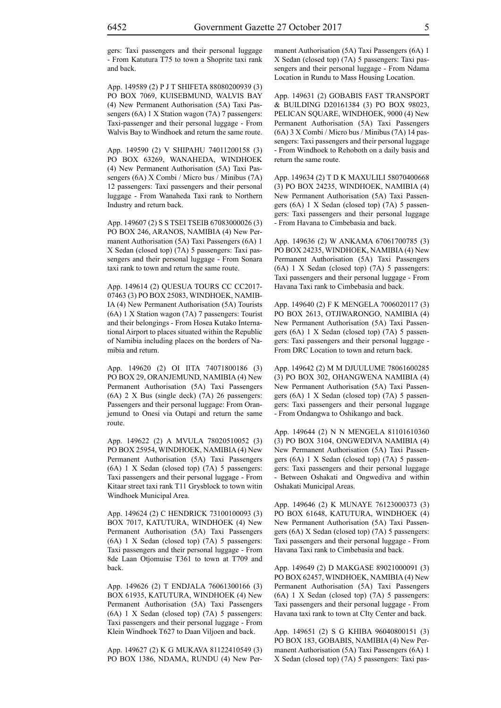gers: Taxi passengers and their personal luggage - From Katutura T75 to town a Shoprite taxi rank and back.

App. 149589 (2) P J T SHIFETA 88080200939 (3) PO BOX 7069, KUISEBMUND, WALVIS BAY (4) New Permanent Authorisation (5A) Taxi Passengers (6A) 1 X Station wagon (7A) 7 passengers: Taxi-passenger and their personal luggage - From Walvis Bay to Windhoek and return the same route.

App. 149590 (2) V SHIPAHU 74011200158 (3) PO BOX 63269, WANAHEDA, WINDHOEK (4) New Permanent Authorisation (5A) Taxi Passengers (6A) X Combi / Micro bus / Minibus (7A) 12 passengers: Taxi passengers and their personal luggage - From Wanaheda Taxi rank to Northern Industry and return back.

App. 149607 (2) S S TSEI TSEIB 67083000026 (3) PO BOX 246, ARANOS, NAMIBIA (4) New Permanent Authorisation (5A) Taxi Passengers (6A) 1 X Sedan (closed top) (7A) 5 passengers: Taxi passengers and their personal luggage - From Sonara taxi rank to town and return the same route.

App. 149614 (2) QUESUA TOURS CC CC2017- 07463 (3) PO BOX 25083, WINDHOEK, NAMIB-IA (4) New Permanent Authorisation (5A) Tourists (6A) 1 X Station wagon (7A) 7 passengers: Tourist and their belongings - From Hosea Kutako International Airport to places situated within the Republic of Namibia including places on the borders of Namibia and return.

App. 149620 (2) OI IITA 74071800186 (3) PO BOX 29, ORANJEMUND, NAMIBIA (4) New Permanent Authorisation (5A) Taxi Passengers (6A) 2 X Bus (single deck) (7A) 26 passengers: Passengers and their personal luggage: From Oranjemund to Onesi via Outapi and return the same route.

App. 149622 (2) A MVULA 78020510052 (3) PO BOX 25954, WINDHOEK, NAMIBIA (4) New Permanent Authorisation (5A) Taxi Passengers (6A) 1 X Sedan (closed top) (7A) 5 passengers: Taxi passengers and their personal luggage - From Kitaar street taxi rank T11 Grysblock to town witin Windhoek Municipal Area.

App. 149624 (2) C HENDRICK 73100100093 (3) BOX 7017, KATUTURA, WINDHOEK (4) New Permanent Authorisation (5A) Taxi Passengers (6A) 1 X Sedan (closed top) (7A) 5 passengers: Taxi passengers and their personal luggage - From 8de Laan Otjomuise T361 to town at T709 and back.

App. 149626 (2) T ENDJALA 76061300166 (3) BOX 61935, KATUTURA, WINDHOEK (4) New Permanent Authorisation (5A) Taxi Passengers (6A) 1 X Sedan (closed top) (7A) 5 passengers: Taxi passengers and their personal luggage - From Klein Windhoek T627 to Daan Viljoen and back.

App. 149627 (2) K G MUKAVA 81122410549 (3) PO BOX 1386, NDAMA, RUNDU (4) New Permanent Authorisation (5A) Taxi Passengers (6A) 1 X Sedan (closed top) (7A) 5 passengers: Taxi passengers and their personal luggage - From Ndama Location in Rundu to Mass Housing Location.

App. 149631 (2) GOBABIS FAST TRANSPORT & BUILDING D20161384 (3) PO BOX 98023, PELICAN SQUARE, WINDHOEK, 9000 (4) New Permanent Authorisation (5A) Taxi Passengers (6A) 3 X Combi / Micro bus / Minibus (7A) 14 passengers: Taxi passengers and their personal luggage - From Windhoek to Rehoboth on a daily basis and return the same route.

App. 149634 (2) T D K MAXULILI 58070400668 (3) PO BOX 24235, WINDHOEK, NAMIBIA (4) New Permanent Authorisation (5A) Taxi Passengers (6A) 1 X Sedan (closed top) (7A) 5 passengers: Taxi passengers and their personal luggage - From Havana to Cimbebasia and back.

App. 149636 (2) W ANKAMA 67061700785 (3) PO BOX 24235, WINDHOEK, NAMIBIA (4) New Permanent Authorisation (5A) Taxi Passengers (6A) 1 X Sedan (closed top) (7A) 5 passengers: Taxi passengers and their personal luggage - From Havana Taxi rank to Cimbebasia and back.

App. 149640 (2) F K MENGELA 7006020117 (3) PO BOX 2613, OTJIWARONGO, NAMIBIA (4) New Permanent Authorisation (5A) Taxi Passengers (6A) 1 X Sedan (closed top) (7A) 5 passengers: Taxi passengers and their personal luggage - From DRC Location to town and return back.

App. 149642 (2) M M DJUULUME 78061600285 (3) PO BOX 302, OHANGWENA NAMIBIA (4) New Permanent Authorisation (5A) Taxi Passengers (6A) 1 X Sedan (closed top) (7A) 5 passengers: Taxi passengers and their personal luggage - From Ondangwa to Oshikango and back.

App. 149644 (2) N N MENGELA 81101610360 (3) PO BOX 3104, ONGWEDIVA NAMIBIA (4) New Permanent Authorisation (5A) Taxi Passengers (6A) 1 X Sedan (closed top) (7A) 5 passengers: Taxi passengers and their personal luggage - Between Oshakati and Ongwediva and within Oshakati Municipal Areas.

App. 149646 (2) K MUNAYE 76123000373 (3) PO BOX 61648, KATUTURA, WINDHOEK (4) New Permanent Authorisation (5A) Taxi Passengers (6A) X Sedan (closed top) (7A) 5 passengers: Taxi passengers and their personal luggage - From Havana Taxi rank to Cimbebasia and back.

App. 149649 (2) D MAKGASE 89021000091 (3) PO BOX 62457, WINDHOEK, NAMIBIA (4) New Permanent Authorisation (5A) Taxi Passengers (6A) 1 X Sedan (closed top) (7A) 5 passengers: Taxi passengers and their personal luggage - From Havana taxi rank to town at CIty Center and back.

App. 149651 (2) S G KHIBA 96040800151 (3) PO BOX 183, GOBABIS, NAMIBIA (4) New Permanent Authorisation (5A) Taxi Passengers (6A) 1 X Sedan (closed top) (7A) 5 passengers: Taxi pas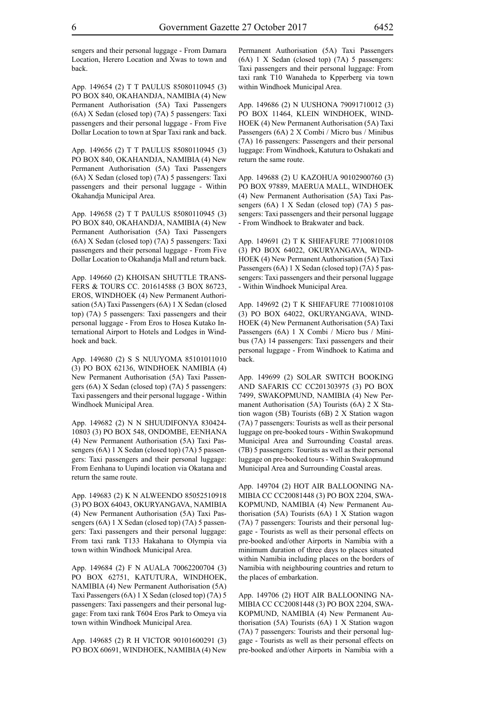sengers and their personal luggage - From Damara Location, Herero Location and Xwas to town and back.

App. 149654 (2) T T PAULUS 85080110945 (3) PO BOX 840, OKAHANDJA, NAMIBIA (4) New Permanent Authorisation (5A) Taxi Passengers (6A) X Sedan (closed top) (7A) 5 passengers: Taxi passengers and their personal luggage - From Five Dollar Location to town at Spar Taxi rank and back.

App. 149656 (2) T T PAULUS 85080110945 (3) PO BOX 840, OKAHANDJA, NAMIBIA (4) New Permanent Authorisation (5A) Taxi Passengers (6A) X Sedan (closed top) (7A) 5 passengers: Taxi passengers and their personal luggage - Within Okahandja Municipal Area.

App. 149658 (2) T T PAULUS 85080110945 (3) PO BOX 840, OKAHANDJA, NAMIBIA (4) New Permanent Authorisation (5A) Taxi Passengers (6A) X Sedan (closed top) (7A) 5 passengers: Taxi passengers and their personal luggage - From Five Dollar Location to Okahandja Mall and return back.

App. 149660 (2) KHOISAN SHUTTLE TRANS-FERS & TOURS CC. 201614588 (3 BOX 86723, EROS, WINDHOEK (4) New Permanent Authorisation (5A) Taxi Passengers (6A) 1 X Sedan (closed top) (7A) 5 passengers: Taxi passengers and their personal luggage - From Eros to Hosea Kutako International Airport to Hotels and Lodges in Windhoek and back.

App. 149680 (2) S S NUUYOMA 85101011010 (3) PO BOX 62136, WINDHOEK NAMIBIA (4) New Permanent Authorisation (5A) Taxi Passengers (6A) X Sedan (closed top) (7A) 5 passengers: Taxi passengers and their personal luggage - Within Windhoek Municipal Area.

App. 149682 (2) N N SHUUDIFONYA 830424- 10803 (3) PO BOX 548, ONDOMBE, EENHANA (4) New Permanent Authorisation (5A) Taxi Passengers (6A) 1 X Sedan (closed top) (7A) 5 passengers: Taxi passengers and their personal luggage: From Eenhana to Uupindi location via Okatana and return the same route.

App. 149683 (2) K N ALWEENDO 85052510918 (3) PO BOX 64043, OKURYANGAVA, NAMIBIA (4) New Permanent Authorisation (5A) Taxi Passengers (6A) 1 X Sedan (closed top) (7A) 5 passengers: Taxi passengers and their personal luggage: From taxi rank T133 Hakahana to Olympia via town within Windhoek Municipal Area.

App. 149684 (2) F N AUALA 70062200704 (3) PO BOX 62751, KATUTURA, WINDHOEK, NAMIBIA (4) New Permanent Authorisation (5A) Taxi Passengers (6A) 1 X Sedan (closed top) (7A) 5 passengers: Taxi passengers and their personal luggage: From taxi rank T604 Eros Park to Omeya via town within Windhoek Municipal Area.

App. 149685 (2) R H VICTOR 90101600291 (3) PO BOX 60691, WINDHOEK, NAMIBIA (4) New Permanent Authorisation (5A) Taxi Passengers (6A) 1 X Sedan (closed top) (7A) 5 passengers: Taxi passengers and their personal luggage: From taxi rank T10 Wanaheda to Kpperberg via town within Windhoek Municipal Area.

App. 149686 (2) N UUSHONA 79091710012 (3) PO BOX 11464, KLEIN WINDHOEK, WIND-HOEK (4) New Permanent Authorisation (5A) Taxi Passengers (6A) 2 X Combi / Micro bus / Minibus (7A) 16 passengers: Passengers and their personal luggage: From Windhoek, Katutura to Oshakati and return the same route.

App. 149688 (2) U KAZOHUA 90102900760 (3) PO BOX 97889, MAERUA MALL, WINDHOEK (4) New Permanent Authorisation (5A) Taxi Passengers (6A) 1 X Sedan (closed top) (7A) 5 passengers: Taxi passengers and their personal luggage - From Windhoek to Brakwater and back.

App. 149691 (2) T K SHIFAFURE 77100810108 (3) PO BOX 64022, OKURYANGAVA, WIND-HOEK (4) New Permanent Authorisation (5A) Taxi Passengers (6A) 1 X Sedan (closed top) (7A) 5 passengers: Taxi passengers and their personal luggage - Within Windhoek Municipal Area.

App. 149692 (2) T K SHIFAFURE 77100810108 (3) PO BOX 64022, OKURYANGAVA, WIND-HOEK (4) New Permanent Authorisation (5A) Taxi Passengers (6A) 1 X Combi / Micro bus / Minibus (7A) 14 passengers: Taxi passengers and their personal luggage - From Windhoek to Katima and back.

App. 149699 (2) SOLAR SWITCH BOOKING AND SAFARIS CC CC201303975 (3) PO BOX 7499, SWAKOPMUND, NAMIBIA (4) New Permanent Authorisation (5A) Tourists (6A) 2 X Station wagon (5B) Tourists (6B) 2 X Station wagon (7A) 7 passengers: Tourists as well as their personal luggage on pre-booked tours - Within Swakopmund Municipal Area and Surrounding Coastal areas. (7B) 5 passengers: Tourists as well as their personal luggage on pre-booked tours - Within Swakopmund Municipal Area and Surrounding Coastal areas.

App. 149704 (2) HOT AIR BALLOONING NA-MIBIA CC CC20081448 (3) PO BOX 2204, SWA-KOPMUND, NAMIBIA (4) New Permanent Authorisation (5A) Tourists (6A) 1 X Station wagon (7A) 7 passengers: Tourists and their personal luggage - Tourists as well as their personal effects on pre-booked and/other Airports in Namibia with a minimum duration of three days to places situated within Namibia including places on the borders of Namibia with neighbouring countries and return to the places of embarkation.

App. 149706 (2) HOT AIR BALLOONING NA-MIBIA CC CC20081448 (3) PO BOX 2204, SWA-KOPMUND, NAMIBIA (4) New Permanent Authorisation (5A) Tourists (6A) 1 X Station wagon (7A) 7 passengers: Tourists and their personal luggage - Tourists as well as their personal effects on pre-booked and/other Airports in Namibia with a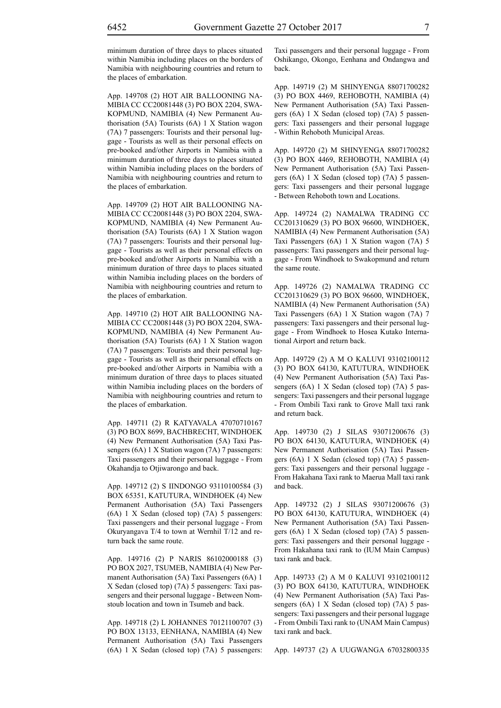minimum duration of three days to places situated within Namibia including places on the borders of Namibia with neighbouring countries and return to the places of embarkation.

App. 149708 (2) HOT AIR BALLOONING NA-MIBIA CC CC20081448 (3) PO BOX 2204, SWA-KOPMUND, NAMIBIA (4) New Permanent Authorisation (5A) Tourists (6A) 1 X Station wagon (7A) 7 passengers: Tourists and their personal luggage - Tourists as well as their personal effects on pre-booked and/other Airports in Namibia with a minimum duration of three days to places situated within Namibia including places on the borders of Namibia with neighbouring countries and return to the places of embarkation.

App. 149709 (2) HOT AIR BALLOONING NA-MIBIA CC CC20081448 (3) PO BOX 2204, SWA-KOPMUND, NAMIBIA (4) New Permanent Authorisation (5A) Tourists (6A) 1 X Station wagon (7A) 7 passengers: Tourists and their personal luggage - Tourists as well as their personal effects on pre-booked and/other Airports in Namibia with a minimum duration of three days to places situated within Namibia including places on the borders of Namibia with neighbouring countries and return to the places of embarkation.

App. 149710 (2) HOT AIR BALLOONING NA-MIBIA CC CC20081448 (3) PO BOX 2204, SWA-KOPMUND, NAMIBIA (4) New Permanent Authorisation (5A) Tourists (6A) 1 X Station wagon (7A) 7 passengers: Tourists and their personal luggage - Tourists as well as their personal effects on pre-booked and/other Airports in Namibia with a minimum duration of three days to places situated within Namibia including places on the borders of Namibia with neighbouring countries and return to the places of embarkation.

App. 149711 (2) R KATYAVALA 47070710167 (3) PO BOX 8699, BACHBRECHT, WINDHOEK (4) New Permanent Authorisation (5A) Taxi Passengers (6A) 1 X Station wagon (7A) 7 passengers: Taxi passengers and their personal luggage - From Okahandja to Otjiwarongo and back.

App. 149712 (2) S IINDONGO 93110100584 (3) BOX 65351, KATUTURA, WINDHOEK (4) New Permanent Authorisation (5A) Taxi Passengers (6A) 1 X Sedan (closed top) (7A) 5 passengers: Taxi passengers and their personal luggage - From Okuryangava T/4 to town at Wernhil T/12 and return back the same route.

App. 149716 (2) P NARIS 86102000188 (3) PO BOX 2027, TSUMEB, NAMIBIA (4) New Permanent Authorisation (5A) Taxi Passengers (6A) 1 X Sedan (closed top) (7A) 5 passengers: Taxi passengers and their personal luggage - Between Nomstoub location and town in Tsumeb and back.

App. 149718 (2) L JOHANNES 70121100707 (3) PO BOX 13133, EENHANA, NAMIBIA (4) New Permanent Authorisation (5A) Taxi Passengers (6A) 1 X Sedan (closed top) (7A) 5 passengers: Taxi passengers and their personal luggage - From Oshikango, Okongo, Eenhana and Ondangwa and back.

App. 149719 (2) M SHINYENGA 88071700282 (3) PO BOX 4469, REHOBOTH, NAMIBIA (4) New Permanent Authorisation (5A) Taxi Passengers (6A) 1 X Sedan (closed top) (7A) 5 passengers: Taxi passengers and their personal luggage - Within Rehoboth Municipal Areas.

App. 149720 (2) M SHINYENGA 88071700282 (3) PO BOX 4469, REHOBOTH, NAMIBIA (4) New Permanent Authorisation (5A) Taxi Passengers (6A) 1 X Sedan (closed top) (7A) 5 passengers: Taxi passengers and their personal luggage - Between Rehoboth town and Locations.

App. 149724 (2) NAMALWA TRADING CC CC201310629 (3) PO BOX 96600, WINDHOEK, NAMIBIA (4) New Permanent Authorisation (5A) Taxi Passengers (6A) 1 X Station wagon (7A) 5 passengers: Taxi passengers and their personal luggage - From Windhoek to Swakopmund and return the same route.

App. 149726 (2) NAMALWA TRADING CC CC201310629 (3) PO BOX 96600, WINDHOEK, NAMIBIA (4) New Permanent Authorisation (5A) Taxi Passengers (6A) 1 X Station wagon (7A) 7 passengers: Taxi passengers and their personal luggage - From Windhoek to Hosea Kutako International Airport and return back.

App. 149729 (2) A M O KALUVI 93102100112 (3) PO BOX 64130, KATUTURA, WINDHOEK (4) New Permanent Authorisation (5A) Taxi Passengers (6A) 1 X Sedan (closed top) (7A) 5 passengers: Taxi passengers and their personal luggage - From Ombili Taxi rank to Grove Mall taxi rank and return back.

App. 149730 (2) J SILAS 93071200676 (3) PO BOX 64130, KATUTURA, WINDHOEK (4) New Permanent Authorisation (5A) Taxi Passengers (6A) 1 X Sedan (closed top) (7A) 5 passengers: Taxi passengers and their personal luggage - From Hakahana Taxi rank to Maerua Mall taxi rank and back.

App. 149732 (2) J SILAS 93071200676 (3) PO BOX 64130, KATUTURA, WINDHOEK (4) New Permanent Authorisation (5A) Taxi Passengers (6A) 1 X Sedan (closed top) (7A) 5 passengers: Taxi passengers and their personal luggage - From Hakahana taxi rank to (IUM Main Campus) taxi rank and back.

App. 149733 (2) A M 0 KALUVI 93102100112 (3) PO BOX 64130, KATUTURA, WINDHOEK (4) New Permanent Authorisation (5A) Taxi Passengers (6A) 1 X Sedan (closed top) (7A) 5 passengers: Taxi passengers and their personal luggage - From Ombili Taxi rank to (UNAM Main Campus) taxi rank and back.

App. 149737 (2) A UUGWANGA 67032800335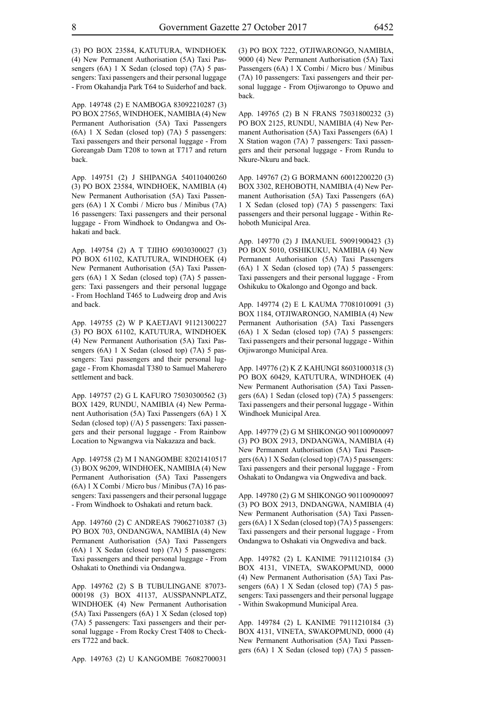(3) PO BOX 23584, KATUTURA, WINDHOEK (4) New Permanent Authorisation (5A) Taxi Passengers (6A) 1 X Sedan (closed top) (7A) 5 passengers: Taxi passengers and their personal luggage - From Okahandja Park T64 to Suiderhof and back.

App. 149748 (2) E NAMBOGA 83092210287 (3) PO BOX 27565, WINDHOEK, NAMIBIA (4) New Permanent Authorisation (5A) Taxi Passengers (6A) 1 X Sedan (closed top) (7A) 5 passengers: Taxi passengers and their personal luggage - From Goreangab Dam T208 to town at T717 and return back.

App. 149751 (2) J SHIPANGA 540110400260 (3) PO BOX 23584, WINDHOEK, NAMIBIA (4) New Permanent Authorisation (5A) Taxi Passengers (6A) 1 X Combi / Micro bus / Minibus (7A) 16 passengers: Taxi passengers and their personal luggage - From Windhoek to Ondangwa and Oshakati and back.

App. 149754 (2) A T TJIHO 69030300027 (3) PO BOX 61102, KATUTURA, WINDHOEK (4) New Permanent Authorisation (5A) Taxi Passengers (6A) 1 X Sedan (closed top) (7A) 5 passengers: Taxi passengers and their personal luggage - From Hochland T465 to Ludweirg drop and Avis and back.

App. 149755 (2) W P KAETJAVI 91121300227 (3) PO BOX 61102, KATUTURA, WINDHOEK (4) New Permanent Authorisation (5A) Taxi Passengers (6A) 1 X Sedan (closed top) (7A) 5 passengers: Taxi passengers and their personal luggage - From Khomasdal T380 to Samuel Maherero settlement and back.

App. 149757 (2) G L KAFURO 75030300562 (3) BOX 1429, RUNDU, NAMIBIA (4) New Permanent Authorisation (5A) Taxi Passengers (6A) 1 X Sedan (closed top) (/A) 5 passengers: Taxi passengers and their personal luggage - From Rainbow Location to Ngwangwa via Nakazaza and back.

App. 149758 (2) M I NANGOMBE 82021410517 (3) BOX 96209, WINDHOEK, NAMIBIA (4) New Permanent Authorisation (5A) Taxi Passengers (6A) 1 X Combi / Micro bus / Minibus (7A) 16 passengers: Taxi passengers and their personal luggage - From Windhoek to Oshakati and return back.

App. 149760 (2) C ANDREAS 79062710387 (3) PO BOX 703, ONDANGWA, NAMIBIA (4) New Permanent Authorisation (5A) Taxi Passengers (6A) 1 X Sedan (closed top) (7A) 5 passengers: Taxi passengers and their personal luggage - From Oshakati to Onethindi via Ondangwa.

App. 149762 (2) S B TUBULINGANE 87073- 000198 (3) BOX 41137, AUSSPANNPLATZ, WINDHOEK (4) New Permanent Authorisation (5A) Taxi Passengers (6A) 1 X Sedan (closed top) (7A) 5 passengers: Taxi passengers and their personal luggage - From Rocky Crest T408 to Checkers T722 and back.

App. 149763 (2) U KANGOMBE 76082700031

(3) PO BOX 7222, OTJIWARONGO, NAMIBIA, 9000 (4) New Permanent Authorisation (5A) Taxi Passengers (6A) 1 X Combi / Micro bus / Minibus (7A) 10 passengers: Taxi passengers and their personal luggage - From Otjiwarongo to Opuwo and back.

App. 149765 (2) B N FRANS 75031800232 (3) PO BOX 2125, RUNDU, NAMIBIA (4) New Permanent Authorisation (5A) Taxi Passengers (6A) 1 X Station wagon (7A) 7 passengers: Taxi passengers and their personal luggage - From Rundu to Nkure-Nkuru and back.

App. 149767 (2) G BORMANN 60012200220 (3) BOX 3302, REHOBOTH, NAMIBIA (4) New Permanent Authorisation (5A) Taxi Passengers (6A) 1 X Sedan (closed top) (7A) 5 passengers: Taxi passengers and their personal luggage - Within Rehoboth Municipal Area.

App. 149770 (2) J IMANUEL 59091900423 (3) PO BOX 5010, OSHIKUKU, NAMIBIA (4) New Permanent Authorisation (5A) Taxi Passengers (6A) 1 X Sedan (closed top) (7A) 5 passengers: Taxi passengers and their personal luggage - From Oshikuku to Okalongo and Ogongo and back.

App. 149774 (2) E L KAUMA 77081010091 (3) BOX 1184, OTJIWARONGO, NAMIBIA (4) New Permanent Authorisation (5A) Taxi Passengers (6A) 1 X Sedan (closed top) (7A) 5 passengers: Taxi passengers and their personal luggage - Within Otjiwarongo Municipal Area.

App. 149776 (2) K Z KAHUNGI 86031000318 (3) PO BOX 60429, KATUTURA, WINDHOEK (4) New Permanent Authorisation (5A) Taxi Passengers (6A) 1 Sedan (closed top) (7A) 5 passengers: Taxi passengers and their personal luggage - Within Windhoek Municipal Area.

App. 149779 (2) G M SHIKONGO 901100900097 (3) PO BOX 2913, DNDANGWA, NAMIBIA (4) New Permanent Authorisation (5A) Taxi Passengers (6A) 1 X Sedan (closed top) (7A) 5 passengers: Taxi passengers and their personal luggage - From Oshakati to Ondangwa via Ongwediva and back.

App. 149780 (2) G M SHIKONGO 901100900097 (3) PO BOX 2913, DNDANGWA, NAMIBIA (4) New Permanent Authorisation (5A) Taxi Passengers (6A) 1 X Sedan (closed top) (7A) 5 passengers: Taxi passengers and their personal luggage - From Ondangwa to Oshakati via Ongwediva and back.

App. 149782 (2) L KANIME 79111210184 (3) BOX 4131, VINETA, SWAKOPMUND, 0000 (4) New Permanent Authorisation (5A) Taxi Passengers (6A) 1 X Sedan (closed top) (7A) 5 passengers: Taxi passengers and their personal luggage - Within Swakopmund Municipal Area.

App. 149784 (2) L KANIME 79111210184 (3) BOX 4131, VINETA, SWAKOPMUND, 0000 (4) New Permanent Authorisation (5A) Taxi Passengers (6A) 1 X Sedan (closed top) (7A) 5 passen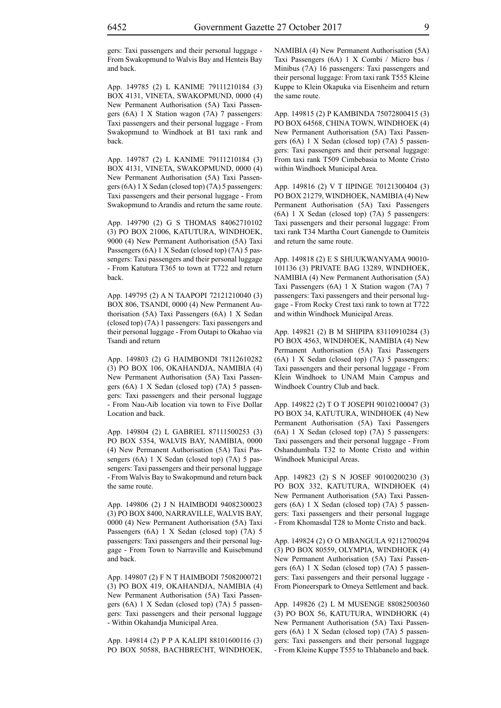App. 149785 (2) L KANIME 79111210184 (3) BOX 4131, VINETA, SWAKOPMUND, 0000 (4) New Permanent Authorisation (5A) Taxi Passengers (6A) 1 X Station wagon (7A) 7 passengers: Taxi passengers and their personal luggage - From Swakopmund to Windhoek at B1 taxi rank and back.

App. 149787 (2) L KANIME 79111210184 (3) BOX 4131, VINETA, SWAKOPMUND, 0000 (4) New Permanent Authorisation (5A) Taxi Passengers (6A) 1 X Sedan (closed top) (7A) 5 passengers: Taxi passengers and their personal luggage - From Swakopmund to Arandis and return the same route.

App. 149790 (2) G S THOMAS 84062710102 (3) PO BOX 21006, KATUTURA, WINDHOEK, 9000 (4) New Permanent Authorisation (5A) Taxi Passengers (6A) 1 X Sedan (closed top) (7A) 5 passengers: Taxi passengers and their personal luggage - From Katutura T365 to town at T722 and return back.

App. 149795 (2) A N TAAPOPI 72121210040 (3) BOX 806, TSANDI, 0000 (4) New Permanent Authorisation (5A) Taxi Passengers (6A) 1 X Sedan (closed top) (7A) 1 passengers: Taxi passengers and their personal luggage - From Outapi to Okahao via Tsandi and return

App. 149803 (2) G HAIMBONDI 78112610282 (3) PO BOX 106, OKAHANDJA, NAMIBIA (4) New Permanent Authorisation (5A) Taxi Passengers (6A) 1 X Sedan (closed top) (7A) 5 passengers: Taxi passengers and their personal luggage - From Nau-Aib location via town to Five Dollar Location and back.

App. 149804 (2) L GABRIEL 87111500253 (3) PO BOX 5354, WALVIS BAY, NAMIBIA, 0000 (4) New Permanent Authorisation (5A) Taxi Passengers (6A) 1 X Sedan (closed top) (7A) 5 passengers: Taxi passengers and their personal luggage - From Walvis Bay to Swakopmund and return back the same route.

App. 149806 (2) J N HAIMBODI 94082300023 (3) PO BOX 8400, NARRAVILLE, WALVIS BAY, 0000 (4) New Permanent Authorisation (5A) Taxi Passengers (6A) 1 X Sedan (closed top) (7A) 5 passengers: Taxi passengers and their personal luggage - From Town to Narraville and Kuisebmund and back.

App. 149807 (2) F N T HAIMBODI 75082000721 (3) PO BOX 419, OKAHANDJA, NAMIBIA (4) New Permanent Authorisation (5A) Taxi Passengers (6A) 1 X Sedan (closed top) (7A) 5 passengers: Taxi passengers and their personal luggage - Within Okahandja Municipal Area.

App. 149814 (2) P P A KALIPI 88101600116 (3) PO BOX 50588, BACHBRECHT, WINDHOEK, NAMIBIA (4) New Permanent Authorisation (5A) Taxi Passengers (6A) 1 X Combi / Micro bus / Minibus (7A) 16 passengers: Taxi passengers and their personal luggage: From taxi rank T555 Kleine Kuppe to Klein Okapuka via Eisenheim and return the same route.

App. 149815 (2) P KAMBINDA 75072800415 (3) PO BOX 64568, CHINA TOWN, WINDHOEK (4) New Permanent Authorisation (5A) Taxi Passengers (6A) 1 X Sedan (closed top) (7A) 5 passengers: Taxi passengers and their personal luggage: From taxi rank T509 Cimbebasia to Monte Cristo within Windhoek Municipal Area.

App. 149816 (2) V T IIPINGE 70121300404 (3) PO BOX 21279, WINDHOEK, NAMIBIA (4) New Permanent Authorisation (5A) Taxi Passengers (6A) 1 X Sedan (closed top) (7A) 5 passengers: Taxi passengers and their personal luggage: From taxi rank T34 Martha Court Ganengde to Oamiteis and return the same route.

App. 149818 (2) E S SHUUKWANYAMA 90010- 101136 (3) PRIVATE BAG 13289, WINDHOEK, NAMIBIA (4) New Permanent Authorisation (5A) Taxi Passengers (6A) 1 X Station wagon (7A) 7 passengers: Taxi passengers and their personal luggage - From Rocky Crest taxi rank to town at T722 and within Windhoek Municipal Areas.

App. 149821 (2) B M SHIPIPA 83110910284 (3) PO BOX 4563, WINDHOEK, NAMIBIA (4) New Permanent Authorisation (5A) Taxi Passengers (6A) 1 X Sedan (closed top) (7A) 5 passengers: Taxi passengers and their personal luggage - From Klein Windhoek to UNAM Main Campus and Windhoek Country Club and back.

App. 149822 (2) T O T JOSEPH 90102100047 (3) PO BOX 34, KATUTURA, WINDHOEK (4) New Permanent Authorisation (5A) Taxi Passengers (6A) 1 X Sedan (closed top) (7A) 5 passengers: Taxi passengers and their personal luggage - From Oshandumbala T32 to Monte Cristo and within Windhoek Municipal Areas.

App. 149823 (2) S N JOSEF 90100200230 (3) PO BOX 332, KATUTURA, WINDHOEK (4) New Permanent Authorisation (5A) Taxi Passengers (6A) 1 X Sedan (closed top) (7A) 5 passengers: Taxi passengers and their personal luggage - From Khomasdal T28 to Monte Cristo and back.

App. 149824 (2) O O MBANGULA 92112700294 (3) PO BOX 80559, OLYMPIA, WINDHOEK (4) New Permanent Authorisation (5A) Taxi Passengers (6A) 1 X Sedan (closed top) (7A) 5 passengers: Taxi passengers and their personal luggage - From Pioneerspark to Omeya Settlement and back.

App. 149826 (2) L M MUSENGE 88082500360 (3) PO BOX 56, KATUTURA, WINDHORK (4) New Permanent Authorisation (5A) Taxi Passengers (6A) 1 X Sedan (closed top) (7A) 5 passengers: Taxi passengers and their personal luggage - From Kleine Kuppe T555 to Thlabanelo and back.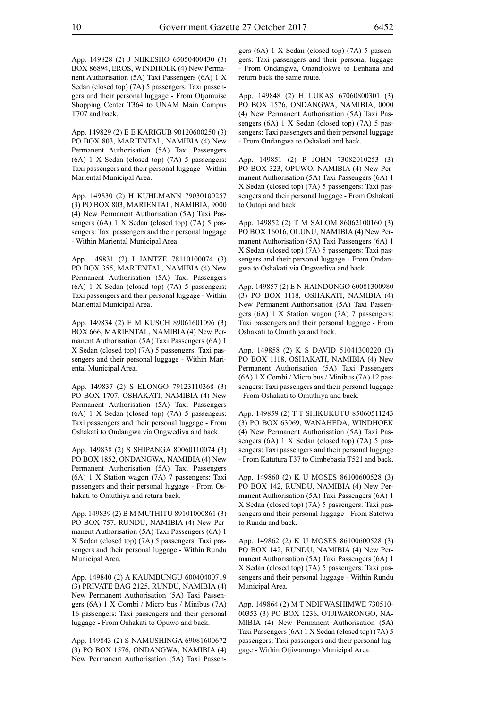App. 149828 (2) J NIIKESHO 65050400430 (3) BOX 86894, EROS, WINDHOEK (4) New Permanent Authorisation (5A) Taxi Passengers (6A) 1 X Sedan (closed top) (7A) 5 passengers: Taxi passengers and their personal luggage - From Otjomuise Shopping Center T364 to UNAM Main Campus T707 and back.

App. 149829 (2) E E KARIGUB 90120600250 (3) PO BOX 803, MARIENTAL, NAMIBIA (4) New Permanent Authorisation (5A) Taxi Passengers (6A) 1 X Sedan (closed top) (7A) 5 passengers: Taxi passengers and their personal luggage - Within Mariental Municipal Area.

App. 149830 (2) H KUHLMANN 79030100257 (3) PO BOX 803, MARIENTAL, NAMIBIA, 9000 (4) New Permanent Authorisation (5A) Taxi Passengers (6A) 1 X Sedan (closed top) (7A) 5 passengers: Taxi passengers and their personal luggage - Within Mariental Municipal Area.

App. 149831 (2) I JANTZE 78110100074 (3) PO BOX 355, MARIENTAL, NAMIBIA (4) New Permanent Authorisation (5A) Taxi Passengers (6A) 1 X Sedan (closed top) (7A) 5 passengers: Taxi passengers and their personal luggage - Within Mariental Municipal Area.

App. 149834 (2) E M KUSCH 89061601096 (3) BOX 666, MARIENTAL, NAMIBIA (4) New Permanent Authorisation (5A) Taxi Passengers (6A) 1 X Sedan (closed top) (7A) 5 passengers: Taxi passengers and their personal luggage - Within Mariental Municipal Area.

App. 149837 (2) S ELONGO 79123110368 (3) PO BOX 1707, OSHAKATI, NAMIBIA (4) New Permanent Authorisation (5A) Taxi Passengers (6A) 1 X Sedan (closed top) (7A) 5 passengers: Taxi passengers and their personal luggage - From Oshakati to Ondangwa via Ongwediva and back.

App. 149838 (2) S SHIPANGA 80060110074 (3) PO BOX 1852, ONDANGWA, NAMIBIA (4) New Permanent Authorisation (5A) Taxi Passengers (6A) 1 X Station wagon (7A) 7 passengers: Taxi passengers and their personal luggage - From Oshakati to Omuthiya and return back.

App. 149839 (2) B M MUTHITU 89101000861 (3) PO BOX 757, RUNDU, NAMIBIA (4) New Permanent Authorisation (5A) Taxi Passengers (6A) 1 X Sedan (closed top) (7A) 5 passengers: Taxi passengers and their personal luggage - Within Rundu Municipal Area.

App. 149840 (2) A KAUMBUNGU 60040400719 (3) PRIVATE BAG 2125, RUNDU, NAMIBIA (4) New Permanent Authorisation (5A) Taxi Passengers (6A) 1 X Combi / Micro bus / Minibus (7A) 16 passengers: Taxi passengers and their personal luggage - From Oshakati to Opuwo and back.

App. 149843 (2) S NAMUSHINGA 69081600672 (3) PO BOX 1576, ONDANGWA, NAMIBIA (4) New Permanent Authorisation (5A) Taxi Passen-

gers (6A) 1 X Sedan (closed top) (7A) 5 passengers: Taxi passengers and their personal luggage - From Ondangwa, Onandjokwe to Eenhana and return back the same route.

App. 149848 (2) H LUKAS 67060800301 (3) PO BOX 1576, ONDANGWA, NAMIBIA, 0000 (4) New Permanent Authorisation (5A) Taxi Passengers (6A) 1 X Sedan (closed top) (7A) 5 passengers: Taxi passengers and their personal luggage - From Ondangwa to Oshakati and back.

App. 149851 (2) P JOHN 73082010253 (3) PO BOX 323, OPUWO, NAMIBIA (4) New Permanent Authorisation (5A) Taxi Passengers (6A) 1 X Sedan (closed top) (7A) 5 passengers: Taxi passengers and their personal luggage - From Oshakati to Outapi and back.

App. 149852 (2) T M SALOM 86062100160 (3) PO BOX 16016, OLUNU, NAMIBIA (4) New Permanent Authorisation (5A) Taxi Passengers (6A) 1 X Sedan (closed top) (7A) 5 passengers: Taxi passengers and their personal luggage - From Ondangwa to Oshakati via Ongwediva and back.

App. 149857 (2) E N HAINDONGO 60081300980 (3) PO BOX 1118, OSHAKATI, NAMIBIA (4) New Permanent Authorisation (5A) Taxi Passengers (6A) 1 X Station wagon (7A) 7 passengers: Taxi passengers and their personal luggage - From Oshakati to Omuthiya and back.

App. 149858 (2) K S DAVID 51041300220 (3) PO BOX 1118, OSHAKATI, NAMIBIA (4) New Permanent Authorisation (5A) Taxi Passengers (6A) 1 X Combi / Micro bus / Minibus (7A) 12 passengers: Taxi passengers and their personal luggage - From Oshakati to Omuthiya and back.

App. 149859 (2) T T SHIKUKUTU 85060511243 (3) PO BOX 63069, WANAHEDA, WINDHOEK (4) New Permanent Authorisation (5A) Taxi Passengers (6A) 1 X Sedan (closed top) (7A) 5 passengers: Taxi passengers and their personal luggage - From Katutura T37 to Cimbebasia T521 and back.

App. 149860 (2) K U MOSES 86100600528 (3) PO BOX 142, RUNDU, NAMIBIA (4) New Permanent Authorisation (5A) Taxi Passengers (6A) 1 X Sedan (closed top) (7A) 5 passengers: Taxi passengers and their personal luggage - From Satotwa to Rundu and back.

App. 149862 (2) K U MOSES 86100600528 (3) PO BOX 142, RUNDU, NAMIBIA (4) New Permanent Authorisation (5A) Taxi Passengers (6A) 1 X Sedan (closed top) (7A) 5 passengers: Taxi passengers and their personal luggage - Within Rundu Municipal Area.

App. 149864 (2) M T NDIPWASHIMWE 730510- 00353 (3) PO BOX 1236, OTJIWARONGO, NA-MIBIA (4) New Permanent Authorisation (5A) Taxi Passengers (6A) 1 X Sedan (closed top) (7A) 5 passengers: Taxi passengers and their personal luggage - Within Otjiwarongo Municipal Area.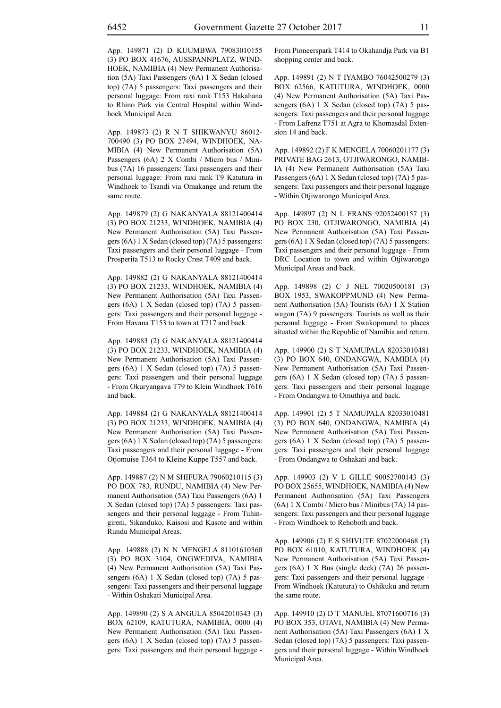App. 149871 (2) D KUUMBWA 79083010155 (3) PO BOX 41676, AUSSPANNPLATZ, WIND-HOEK, NAMIBIA (4) New Permanent Authorisation (5A) Taxi Passengers (6A) 1 X Sedan (closed top) (7A) 5 passengers: Taxi passengers and their personal luggage: From raxi rank T153 Hakahana to Rhino Park via Central Hospital within Windhoek Municipal Area.

App. 149873 (2) R N T SHIKWANYU 86012- 700490 (3) PO BOX 27494, WINDHOEK, NA-MIBIA (4) New Permanent Authorisation (5A) Passengers (6A) 2 X Combi / Micro bus / Minibus (7A) 16 passengers: Taxi passengers and their personal luggage: From raxi rank T9 Katutura in Windhoek to Tsandi via Omakange and return the same route.

App. 149879 (2) G NAKANYALA 88121400414 (3) PO BOX 21233, WINDHOEK, NAMIBIA (4) New Permanent Authorisation (5A) Taxi Passengers (6A) 1 X Sedan (closed top) (7A) 5 passengers: Taxi passengers and their personal luggage - From Prosperita T513 to Rocky Crest T409 and back.

App. 149882 (2) G NAKANYALA 88121400414 (3) PO BOX 21233, WINDHOEK, NAMIBIA (4) New Permanent Authorisation (5A) Taxi Passengers (6A) 1 X Sedan (closed top) (7A) 5 passengers: Taxi passengers and their personal luggage - From Havana T153 to town at T717 and back.

App. 149883 (2) G NAKANYALA 88121400414 (3) PO BOX 21233, WINDHOEK, NAMIBIA (4) New Permanent Authorisation (5A) Taxi Passengers (6A) 1 X Sedan (closed top) (7A) 5 passengers: Taxi passengers and their personal luggage - From Okuryangava T79 to Klein Windhoek T616 and back.

App. 149884 (2) G NAKANYALA 88121400414 (3) PO BOX 21233, WINDHOEK, NAMIBIA (4) New Permanent Authorisation (5A) Taxi Passengers (6A) 1 X Sedan (closed top) (7A) 5 passengers: Taxi passengers and their personal luggage - From Otjomuise T364 to Kleine Kuppe T557 and back.

App. 149887 (2) N M SHIFURA 79060210115 (3) PO BOX 783, RUNDU, NAMIBIA (4) New Permanent Authorisation (5A) Taxi Passengers (6A) 1 X Sedan (closed top) (7A) 5 passengers: Taxi passengers and their personal luggage - From Tuhingireni, Sikanduko, Kaisosi and Kasote and within Rundu Municipal Areas.

App. 149888 (2) N N MENGELA 81101610360 (3) PO BOX 3104, ONGWEDIVA, NAMIBIA (4) New Permanent Authorisation (5A) Taxi Passengers (6A) 1 X Sedan (closed top) (7A) 5 passengers: Taxi passengers and their personal luggage - Within Oshakati Municipal Area.

App. 149890 (2) S A ANGULA 85042010343 (3) BOX 62109, KATUTURA, NAMIBIA, 0000 (4) New Permanent Authorisation (5A) Taxi Passengers (6A) 1 X Sedan (closed top) (7A) 5 passengers: Taxi passengers and their personal luggage - From Pioneerspark T414 to Okahandja Park via B1 shopping center and back.

App. 149891 (2) N T IYAMBO 76042500279 (3) BOX 62566, KATUTURA, WINDHOEK, 0000 (4) New Permanent Authorisation (5A) Taxi Passengers (6A) 1 X Sedan (closed top) (7A) 5 passengers: Taxi passengers and their personal luggage - From Lafrenz T751 at Agra to Khomasdal Extension 14 and back.

App. 149892 (2) F K MENGELA 70060201177 (3) PRIVATE BAG 2613, OTJIWARONGO, NAMIB-IA (4) New Permanent Authorisation (5A) Taxi Passengers (6A) 1 X Sedan (closed top) (7A) 5 passengers: Taxi passengers and their personal luggage - Within Otjiwarongo Municipal Area.

App. 149897 (2) N L FRANS 92052400157 (3) PO BOX 230, OTJIWARONGO, NAMIBIA (4) New Permanent Authorisation (5A) Taxi Passengers (6A) 1 X Sedan (closed top) (7A) 5 passengers: Taxi passengers and their personal luggage - From DRC Location to town and within Otjiwarongo Municipal Areas and back.

App. 149898 (2) C J NEL 70020500181 (3) BOX 1953, SWAKOPPMUND (4) New Permanent Authorisation (5A) Tourists (6A) 1 X Station wagon (7A) 9 passengers: Tourists as well as their personal luggage - From Swakopmund to places situated within the Republic of Namibia and return.

App. 149900 (2) S T NAMUPALA 82033010481 (3) PO BOX 640, ONDANGWA, NAMIBIA (4) New Permanent Authorisation (5A) Taxi Passengers (6A) 1 X Sedan (closed top) (7A) 5 passengers: Taxi passengers and their personal luggage - From Ondangwa to Omuthiya and back.

App. 149901 (2) 5 T NAMUPALA 82033010481 (3) PO BOX 640, ONDANGWA, NAMIBIA (4) New Permanent Authorisation (5A) Taxi Passengers (6A) 1 X Sedan (closed top) (7A) 5 passengers: Taxi passengers and their personal luggage - From Ondangwa to Oshakati and back.

App. 149903 (2) V L GILLE 90052700143 (3) PO BOX 25655, WINDHOEK, NAMIBIA (4) New Permanent Authorisation (5A) Taxi Passengers (6A) 1 X Combi / Micro bus / Minibus (7A) 14 passengers: Taxi passengers and their personal luggage - From Windhoek to Rehoboth and back.

App. 149906 (2) E S SHIVUTE 87022000468 (3) PO BOX 61010, KATUTURA, WINDHOEK (4) New Permanent Authorisation (5A) Taxi Passengers (6A) 1 X Bus (single deck) (7A) 26 passengers: Taxi passengers and their personal luggage - From Windhoek (Katutura) to Oshikuku and return the same route.

App. 149910 (2) D T MANUEL 87071600716 (3) PO BOX 353, OTAVI, NAMIBIA (4) New Permanent Authorisation (5A) Taxi Passengers (6A) 1 X Sedan (closed top) (7A) 5 passengers: Taxi passengers and their personal luggage - Within Windhoek Municipal Area.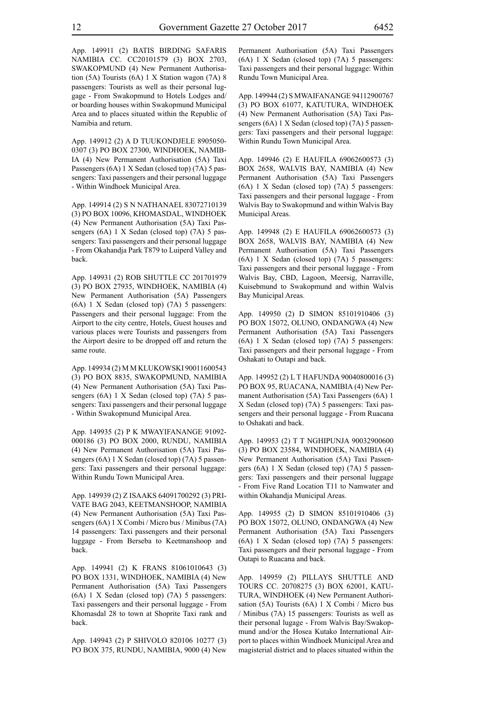App. 149911 (2) BATIS BIRDING SAFARIS NAMIBIA CC. CC20101579 (3) BOX 2703, SWAKOPMUND (4) New Permanent Authorisation (5A) Tourists (6A) 1 X Station wagon (7A) 8 passengers: Tourists as well as their personal luggage - From Swakopmund to Hotels Lodges and/ or boarding houses within Swakopmund Municipal Area and to places situated within the Republic of Namibia and return.

App. 149912 (2) A D TUUKONDJELE 8905050- 0307 (3) PO BOX 27300, WINDHOEK, NAMIB-IA (4) New Permanent Authorisation (5A) Taxi Passengers (6A) 1 X Sedan (closed top) (7A) 5 passengers: Taxi passengers and their personal luggage - Within Windhoek Municipal Area.

App. 149914 (2) S N NATHANAEL 83072710139 (3) PO BOX 10096, KHOMASDAL, WINDHOEK (4) New Permanent Authorisation (5A) Taxi Passengers (6A) 1 X Sedan (closed top) (7A) 5 passengers: Taxi passengers and their personal luggage - From Okahandja Park T879 to Luiperd Valley and back.

App. 149931 (2) ROB SHUTTLE CC 201701979 (3) PO BOX 27935, WINDHOEK, NAMIBIA (4) New Permanent Authorisation (5A) Passengers (6A) 1 X Sedan (closed top) (7A) 5 passengers: Passengers and their personal luggage: From the Airport to the city centre, Hotels, Guest houses and various places were Tourists and passengers from the Airport desire to be dropped off and return the same route.

App. 149934 (2) M M KLUKOWSKI 90011600543 (3) PO BOX 8835, SWAKOPMUND, NAMIBIA (4) New Permanent Authorisation (5A) Taxi Passengers (6A) 1 X Sedan (closed top) (7A) 5 passengers: Taxi passengers and their personal luggage - Within Swakopmund Municipal Area.

App. 149935 (2) P K MWAYIFANANGE 91092- 000186 (3) PO BOX 2000, RUNDU, NAMIBIA (4) New Permanent Authorisation (5A) Taxi Passengers (6A) 1 X Sedan (closed top) (7A) 5 passengers: Taxi passengers and their personal luggage: Within Rundu Town Municipal Area.

App. 149939 (2) Z ISAAKS 64091700292 (3) PRI-VATE BAG 2043, KEETMANSHOOP, NAMIBIA (4) New Permanent Authorisation (5A) Taxi Passengers (6A) 1 X Combi / Micro bus / Minibus (7A) 14 passengers: Taxi passengers and their personal luggage - From Berseba to Keetmanshoop and back.

App. 149941 (2) K FRANS 81061010643 (3) PO BOX 1331, WINDHOEK, NAMIBIA (4) New Permanent Authorisation (5A) Taxi Passengers (6A) 1 X Sedan (closed top) (7A) 5 passengers: Taxi passengers and their personal luggage - From Khomasdal 28 to town at Shoprite Taxi rank and back.

App. 149943 (2) P SHIVOLO 820106 10277 (3) PO BOX 375, RUNDU, NAMIBIA, 9000 (4) New Permanent Authorisation (5A) Taxi Passengers (6A) 1 X Sedan (closed top) (7A) 5 passengers: Taxi passengers and their personal luggage: Within Rundu Town Municipal Area.

App. 149944 (2) S MWAIFANANGE 94112900767 (3) PO BOX 61077, KATUTURA, WINDHOEK (4) New Permanent Authorisation (5A) Taxi Passengers (6A) 1 X Sedan (closed top) (7A) 5 passengers: Taxi passengers and their personal luggage: Within Rundu Town Municipal Area.

App. 149946 (2) E HAUFILA 69062600573 (3) BOX 2658, WALVIS BAY, NAMIBIA (4) New Permanent Authorisation (5A) Taxi Passengers (6A) 1 X Sedan (closed top) (7A) 5 passengers: Taxi passengers and their personal luggage - From Walvis Bay to Swakopmund and within Walvis Bay Municipal Areas.

App. 149948 (2) E HAUFILA 69062600573 (3) BOX 2658, WALVIS BAY, NAMIBIA (4) New Permanent Authorisation (5A) Taxi Passengers (6A) 1 X Sedan (closed top) (7A) 5 passengers: Taxi passengers and their personal luggage - From Walvis Bay, CBD, Lagoon, Meersig, Narraville, Kuisebmund to Swakopmund and within Walvis Bay Municipal Areas.

App. 149950 (2) D SIMON 85101910406 (3) PO BOX 15072, OLUNO, ONDANGWA (4) New Permanent Authorisation (5A) Taxi Passengers (6A) 1 X Sedan (closed top) (7A) 5 passengers: Taxi passengers and their personal luggage - From Oshakati to Outapi and back.

App. 149952 (2) L T HAFUNDA 90040800016 (3) PO BOX 95, RUACANA, NAMIBIA (4) New Permanent Authorisation (5A) Taxi Passengers (6A) 1 X Sedan (closed top) (7A) 5 passengers: Taxi passengers and their personal luggage - From Ruacana to Oshakati and back.

App. 149953 (2) T T NGHIPUNJA 90032900600 (3) PO BOX 23584, WINDHOEK, NAMIBIA (4) New Permanent Authorisation (5A) Taxi Passengers (6A) 1 X Sedan (closed top) (7A) 5 passengers: Taxi passengers and their personal luggage - From Five Rand Location T11 to Namwater and within Okahandja Municipal Areas.

App. 149955 (2) D SIMON 85101910406 (3) PO BOX 15072, OLUNO, ONDANGWA (4) New Permanent Authorisation (5A) Taxi Passengers (6A) 1 X Sedan (closed top) (7A) 5 passengers: Taxi passengers and their personal luggage - From Outapi to Ruacana and back.

App. 149959 (2) PILLAYS SHUTTLE AND TOURS CC. 20708275 (3) BOX 62001, KATU-TURA, WINDHOEK (4) New Permanent Authorisation (5A) Tourists (6A) 1 X Combi / Micro bus / Minibus (7A) 15 passengers: Tourists as well as their personal lugage - From Walvis Bay/Swakopmund and/or the Hosea Kutako International Airport to places within Windhoek Municipal Area and magisterial district and to places situated within the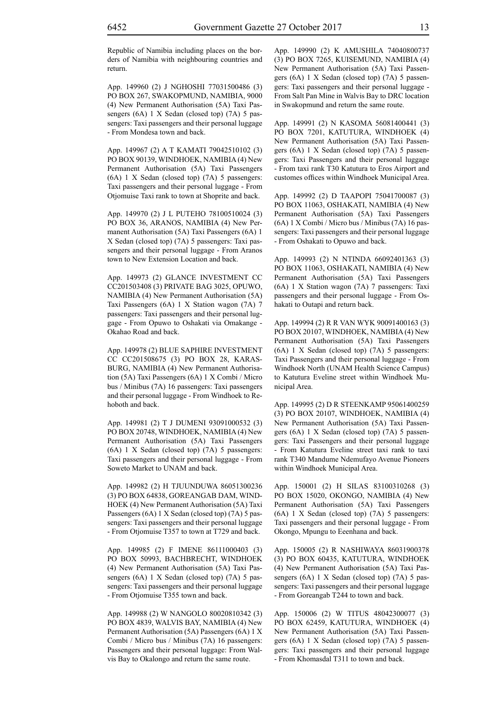Republic of Namibia including places on the borders of Namibia with neighbouring countries and return.

App. 149960 (2) J NGHOSHI 77031500486 (3) PO BOX 267, SWAKOPMUND, NAMIBIA, 9000 (4) New Permanent Authorisation (5A) Taxi Passengers (6A) 1 X Sedan (closed top) (7A) 5 passengers: Taxi passengers and their personal luggage - From Mondesa town and back.

App. 149967 (2) A T KAMATI 79042510102 (3) PO BOX 90139, WINDHOEK, NAMIBIA (4) New Permanent Authorisation (5A) Taxi Passengers (6A) 1 X Sedan (closed top) (7A) 5 passengers: Taxi passengers and their personal luggage - From Otjomuise Taxi rank to town at Shoprite and back.

App. 149970 (2) J L PUTEHO 78100510024 (3) PO BOX 36, ARANOS, NAMIBIA (4) New Permanent Authorisation (5A) Taxi Passengers (6A) 1 X Sedan (closed top) (7A) 5 passengers: Taxi passengers and their personal luggage - From Aranos town to New Extension Location and back.

App. 149973 (2) GLANCE INVESTMENT CC CC201503408 (3) PRIVATE BAG 3025, OPUWO, NAMIBIA (4) New Permanent Authorisation (5A) Taxi Passengers (6A) 1 X Station wagon (7A) 7 passengers: Taxi passengers and their personal luggage - From Opuwo to Oshakati via Omakange - Okahao Road and back.

App. 149978 (2) BLUE SAPHIRE INVESTMENT CC CC201508675 (3) PO BOX 28, KARAS-BURG, NAMIBIA (4) New Permanent Authorisation (5A) Taxi Passengers (6A) 1 X Combi / Micro bus / Minibus (7A) 16 passengers: Taxi passengers and their personal luggage - From Windhoek to Rehoboth and back.

App. 149981 (2) T J DUMENI 93091000532 (3) PO BOX 20748, WINDHOEK, NAMIBIA (4) New Permanent Authorisation (5A) Taxi Passengers (6A) 1 X Sedan (closed top) (7A) 5 passengers: Taxi passengers and their personal luggage - From Soweto Market to UNAM and back.

App. 149982 (2) H TJUUNDUWA 86051300236 (3) PO BOX 64838, GOREANGAB DAM, WIND-HOEK (4) New Permanent Authorisation (5A) Taxi Passengers (6A) 1 X Sedan (closed top) (7A) 5 passengers: Taxi passengers and their personal luggage - From Otjomuise T357 to town at T729 and back.

App. 149985 (2) F IMENE 86111000403 (3) PO BOX 50993, BACHBRECHT, WINDHOEK (4) New Permanent Authorisation (5A) Taxi Passengers (6A) 1 X Sedan (closed top) (7A) 5 passengers: Taxi passengers and their personal luggage - From Otjomuise T355 town and back.

App. 149988 (2) W NANGOLO 80020810342 (3) PO BOX 4839, WALVIS BAY, NAMIBIA (4) New Permanent Authorisation (5A) Passengers (6A) 1 X Combi / Micro bus / Minibus (7A) 16 passengers: Passengers and their personal luggage: From Walvis Bay to Okalongo and return the same route.

App. 149990 (2) K AMUSHILA 74040800737 (3) PO BOX 7265, KUISEMUND, NAMIBIA (4) New Permanent Authorisation (5A) Taxi Passengers (6A) 1 X Sedan (closed top) (7A) 5 passengers: Taxi passengers and their personal luggage - From Salt Pan Mine in Walvis Bay to DRC location in Swakopmund and return the same route.

App. 149991 (2) N KASOMA 56081400441 (3) PO BOX 7201, KATUTURA, WINDHOEK (4) New Permanent Authorisation (5A) Taxi Passengers (6A) 1 X Sedan (closed top) (7A) 5 passengers: Taxi Passengers and their personal luggage - From taxi rank T30 Katutura to Eros Airport and customes offices within Windhoek Municipal Area.

App. 149992 (2) D TAAPOPI 75041700087 (3) PO BOX 11063, OSHAKATI, NAMIBIA (4) New Permanent Authorisation (5A) Taxi Passengers (6A) 1 X Combi / Micro bus / Minibus (7A) 16 passengers: Taxi passengers and their personal luggage - From Oshakati to Opuwo and back.

App. 149993 (2) N NTINDA 66092401363 (3) PO BOX 11063, OSHAKATI, NAMIBIA (4) New Permanent Authorisation (5A) Taxi Passengers (6A) 1 X Station wagon (7A) 7 passengers: Taxi passengers and their personal luggage - From Oshakati to Outapi and return back.

App. 149994 (2) R R VAN WYK 90091400163 (3) PO BOX 20107, WINDHOEK, NAMIBIA (4) New Permanent Authorisation (5A) Taxi Passengers (6A) 1 X Sedan (closed top) (7A) 5 passengers: Taxi Passengers and their personal luggage - From Windhoek North (UNAM Health Science Campus) to Katutura Eveline street within Windhoek Municipal Area.

App. 149995 (2) D R STEENKAMP 95061400259 (3) PO BOX 20107, WINDHOEK, NAMIBIA (4) New Permanent Authorisation (5A) Taxi Passengers (6A) 1 X Sedan (closed top) (7A) 5 passengers: Taxi Passengers and their personal luggage - From Katutura Eveline street taxi rank to taxi rank T340 Mandume Ndemufayo Avenue Pioneers within Windhoek Municipal Area.

App. 150001 (2) H SILAS 83100310268 (3) PO BOX 15020, OKONGO, NAMIBIA (4) New Permanent Authorisation (5A) Taxi Passengers (6A) 1 X Sedan (closed top) (7A) 5 passengers: Taxi passengers and their personal luggage - From Okongo, Mpungu to Eeenhana and back.

App. 150005 (2) R NASHIWAYA 86031900378 (3) PO BOX 60435, KATUTURA, WINDHOEK (4) New Permanent Authorisation (5A) Taxi Passengers (6A) 1 X Sedan (closed top) (7A) 5 passengers: Taxi passengers and their personal luggage - From Goreangab T244 to town and back.

App. 150006 (2) W TITUS 48042300077 (3) PO BOX 62459, KATUTURA, WINDHOEK (4) New Permanent Authorisation (5A) Taxi Passengers (6A) 1 X Sedan (closed top) (7A) 5 passengers: Taxi passengers and their personal luggage - From Khomasdal T311 to town and back.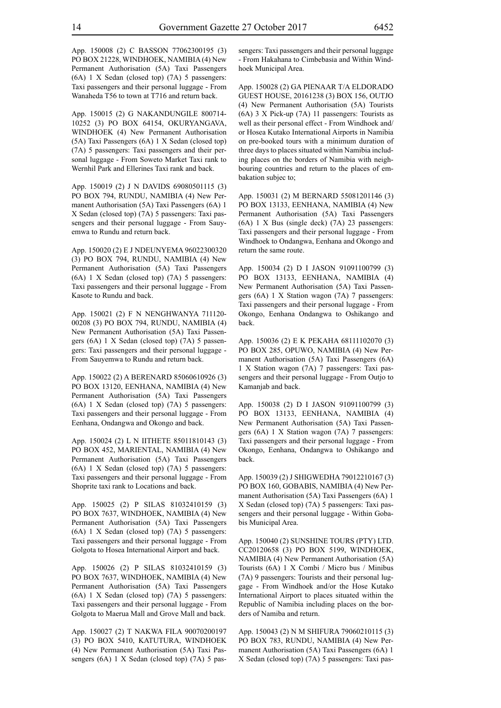App. 150008 (2) C BASSON 77062300195 (3) PO BOX 21228, WINDHOEK, NAMIBIA (4) New Permanent Authorisation (5A) Taxi Passengers (6A) 1 X Sedan (closed top) (7A) 5 passengers: Taxi passengers and their personal luggage - From Wanaheda T56 to town at T716 and return back.

App. 150015 (2) G NAKANDUNGILE 800714- 10252 (3) PO BOX 64154, OKURYANGAVA, WINDHOEK (4) New Permanent Authorisation (5A) Taxi Passengers (6A) 1 X Sedan (closed top) (7A) 5 passengers: Taxi passengers and their personal luggage - From Soweto Market Taxi rank to Wernhil Park and Ellerines Taxi rank and back.

App. 150019 (2) J N DAVIDS 69080501115 (3) PO BOX 794, RUNDU, NAMIBIA (4) New Permanent Authorisation (5A) Taxi Passengers (6A) 1 X Sedan (closed top) (7A) 5 passengers: Taxi passengers and their personal luggage - From Sauyemwa to Rundu and return back.

App. 150020 (2) E J NDEUNYEMA 96022300320 (3) PO BOX 794, RUNDU, NAMIBIA (4) New Permanent Authorisation (5A) Taxi Passengers (6A) 1 X Sedan (closed top) (7A) 5 passengers: Taxi passengers and their personal luggage - From Kasote to Rundu and back.

App. 150021 (2) F N NENGHWANYA 711120- 00208 (3) PO BOX 794, RUNDU, NAMIBIA (4) New Permanent Authorisation (5A) Taxi Passengers (6A) 1 X Sedan (closed top) (7A) 5 passengers: Taxi passengers and their personal luggage - From Sauyemwa to Rundu and return back.

App. 150022 (2) A BERENARD 85060610926 (3) PO BOX 13120, EENHANA, NAMIBIA (4) New Permanent Authorisation (5A) Taxi Passengers (6A) 1 X Sedan (closed top) (7A) 5 passengers: Taxi passengers and their personal luggage - From Eenhana, Ondangwa and Okongo and back.

App. 150024 (2) L N IITHETE 85011810143 (3) PO BOX 452, MARIENTAL, NAMIBIA (4) New Permanent Authorisation (5A) Taxi Passengers (6A) 1 X Sedan (closed top) (7A) 5 passengers: Taxi passengers and their personal luggage - From Shoprite taxi rank to Locations and back.

App. 150025 (2) P SILAS 81032410159 (3) PO BOX 7637, WINDHOEK, NAMIBIA (4) New Permanent Authorisation (5A) Taxi Passengers (6A) 1 X Sedan (closed top) (7A) 5 passengers: Taxi passengers and their personal luggage - From Golgota to Hosea International Airport and back.

App. 150026 (2) P SILAS 81032410159 (3) PO BOX 7637, WINDHOEK, NAMIBIA (4) New Permanent Authorisation (5A) Taxi Passengers (6A) 1 X Sedan (closed top) (7A) 5 passengers: Taxi passengers and their personal luggage - From Golgota to Maerua Mall and Grove Mall and back.

App. 150027 (2) T NAKWA FILA 90070200197 (3) PO BOX 5410, KATUTURA, WINDHOEK (4) New Permanent Authorisation (5A) Taxi Passengers (6A) 1 X Sedan (closed top) (7A) 5 pas-

sengers: Taxi passengers and their personal luggage - From Hakahana to Cimbebasia and Within Windhoek Municipal Area.

App. 150028 (2) GA PIENAAR T/A ELDORADO GUEST HOUSE, 20161238 (3) BOX 156, OUTJO (4) New Permanent Authorisation (5A) Tourists (6A) 3 X Pick-up (7A) 11 passengers: Tourists as well as their personal effect - From Windhoek and/ or Hosea Kutako International Airports in Namibia on pre-booked tours with a minimum duration of three days to places situated within Namibia including places on the borders of Namibia with neighbouring countries and return to the places of embakation subjec to;

App. 150031 (2) M BERNARD 55081201146 (3) PO BOX 13133, EENHANA, NAMIBIA (4) New Permanent Authorisation (5A) Taxi Passengers (6A) 1 X Bus (single deck) (7A) 23 passengers: Taxi passengers and their personal luggage - From Windhoek to Ondangwa, Eenhana and Okongo and return the same route.

App. 150034 (2) D I JASON 91091100799 (3) PO BOX 13133, EENHANA, NAMIBIA (4) New Permanent Authorisation (5A) Taxi Passengers (6A) 1 X Station wagon (7A) 7 passengers: Taxi passengers and their personal luggage - From Okongo, Eenhana Ondangwa to Oshikango and back.

App. 150036 (2) E K PEKAHA 68111102070 (3) PO BOX 285, OPUWO, NAMIBIA (4) New Permanent Authorisation (5A) Taxi Passengers (6A) 1 X Station wagon (7A) 7 passengers: Taxi passengers and their personal luggage - From Outjo to Kamanjab and back.

App. 150038 (2) D I JASON 91091100799 (3) PO BOX 13133, EENHANA, NAMIBIA (4) New Permanent Authorisation (5A) Taxi Passengers (6A) 1 X Station wagon (7A) 7 passengers: Taxi passengers and their personal luggage - From Okongo, Eenhana, Ondangwa to Oshikango and back.

App. 150039 (2) J SHIGWEDHA 79012210167 (3) PO BOX 160, GOBABIS, NAMIBIA (4) New Permanent Authorisation (5A) Taxi Passengers (6A) 1 X Sedan (closed top) (7A) 5 passengers: Taxi passengers and their personal luggage - Within Gobabis Municipal Area.

App. 150040 (2) SUNSHINE TOURS (PTY) LTD. CC20120658 (3) PO BOX 5199, WINDHOEK, NAMIBIA (4) New Permanent Authorisation (5A) Tourists (6A) 1 X Combi / Micro bus / Minibus (7A) 9 passengers: Tourists and their personal luggage - From Windhoek and/or the Hose Kutako International Airport to places situated within the Republic of Namibia including places on the borders of Namiba and return.

App. 150043 (2) N M SHIFURA 79060210115 (3) PO BOX 783, RUNDU, NAMIBIA (4) New Permanent Authorisation (5A) Taxi Passengers (6A) 1 X Sedan (closed top) (7A) 5 passengers: Taxi pas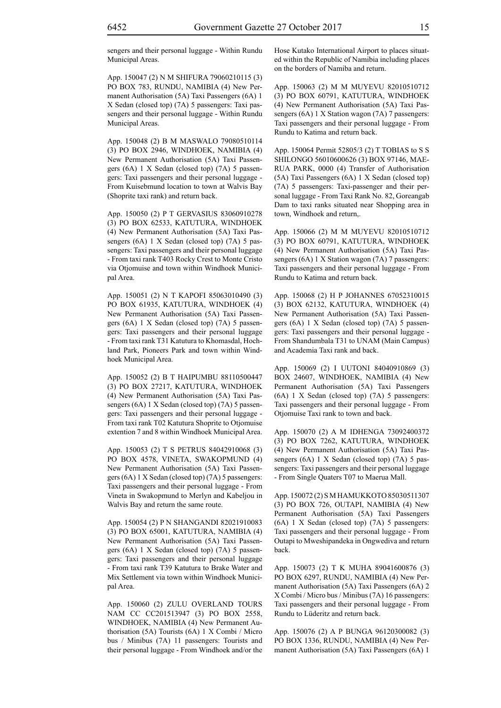sengers and their personal luggage - Within Rundu Municipal Areas.

App. 150047 (2) N M SHIFURA 79060210115 (3) PO BOX 783, RUNDU, NAMIBIA (4) New Permanent Authorisation (5A) Taxi Passengers (6A) 1 X Sedan (closed top) (7A) 5 passengers: Taxi passengers and their personal luggage - Within Rundu Municipal Areas.

App. 150048 (2) B M MASWALO 79080510114 (3) PO BOX 2946, WINDHOEK, NAMIBIA (4) New Permanent Authorisation (5A) Taxi Passengers (6A) 1 X Sedan (closed top) (7A) 5 passengers: Taxi passengers and their personal luggage - From Kuisebmund location to town at Walvis Bay (Shoprite taxi rank) and return back.

App. 150050 (2) P T GERVASIUS 83060910278 (3) PO BOX 62533, KATUTURA, WINDHOEK (4) New Permanent Authorisation (5A) Taxi Passengers (6A) 1 X Sedan (closed top) (7A) 5 passengers: Taxi passengers and their personal luggage - From taxi rank T403 Rocky Crest to Monte Cristo via Otjomuise and town within Windhoek Municipal Area.

App. 150051 (2) N T KAPOFI 85063010490 (3) PO BOX 61935, KATUTURA, WINDHOEK (4) New Permanent Authorisation (5A) Taxi Passengers (6A) 1 X Sedan (closed top) (7A) 5 passengers: Taxi passengers and their personal luggage - From taxi rank T31 Katutura to Khomasdal, Hochland Park, Pioneers Park and town within Windhoek Municipal Area.

App. 150052 (2) B T HAIPUMBU 88110500447 (3) PO BOX 27217, KATUTURA, WINDHOEK (4) New Permanent Authorisation (5A) Taxi Passengers (6A) 1 X Sedan (closed top) (7A) 5 passengers: Taxi passengers and their personal luggage - From taxi rank T02 Katutura Shoprite to Otjomuise extention 7 and 8 within Windhoek Municipal Area.

App. 150053 (2) T S PETRUS 84042910068 (3) PO BOX 4578, VINETA, SWAKOPMUND (4) New Permanent Authorisation (5A) Taxi Passengers (6A) 1 X Sedan (closed top) (7A) 5 passengers: Taxi passengers and their personal luggage - From Vineta in Swakopmund to Merlyn and Kabeljou in Walvis Bay and return the same route.

App. 150054 (2) P N SHANGANDI 82021910083 (3) PO BOX 65001, KATUTURA, NAMIBIA (4) New Permanent Authorisation (5A) Taxi Passengers (6A) 1 X Sedan (closed top) (7A) 5 passengers: Taxi passengers and their personal luggage - From taxi rank T39 Katutura to Brake Water and Mix Settlement via town within Windhoek Municipal Area.

App. 150060 (2) ZULU OVERLAND TOURS NAM CC CC201513947 (3) PO BOX 2558, WINDHOEK, NAMIBIA (4) New Permanent Authorisation (5A) Tourists (6A) 1 X Combi / Micro bus / Minibus (7A) 11 passengers: Tourists and their personal luggage - From Windhoek and/or the Hose Kutako International Airport to places situated within the Republic of Namibia including places on the borders of Namiba and return.

App. 150063 (2) M M MUYEVU 82010510712 (3) PO BOX 60791, KATUTURA, WINDHOEK (4) New Permanent Authorisation (5A) Taxi Passengers (6A) 1 X Station wagon (7A) 7 passengers: Taxi passengers and their personal luggage - From Rundu to Katima and return back.

App. 150064 Permit 52805/3 (2) T TOBIAS to S S SHILONGO 56010600626 (3) BOX 97146, MAE-RUA PARK, 0000 (4) Transfer of Authorisation (5A) Taxi Passengers (6A) 1 X Sedan (closed top) (7A) 5 passengers: Taxi-passenger and their personal luggage - From Taxi Rank No. 82, Goreangab Dam to taxi ranks situated near Shopping area in town, Windhoek and return,.

App. 150066 (2) M M MUYEVU 82010510712 (3) PO BOX 60791, KATUTURA, WINDHOEK (4) New Permanent Authorisation (5A) Taxi Passengers (6A) 1 X Station wagon (7A) 7 passengers: Taxi passengers and their personal luggage - From Rundu to Katima and return back.

App. 150068 (2) H P JOHANNES 67052310015 (3) BOX 62132, KATUTURA, WINDHOEK (4) New Permanent Authorisation (5A) Taxi Passengers (6A) 1 X Sedan (closed top) (7A) 5 passengers: Taxi passengers and their personal luggage - From Shandumbala T31 to UNAM (Main Campus) and Academia Taxi rank and back.

App. 150069 (2) I UUTONI 84040910869 (3) BOX 24607, WINDHOEK, NAMIBIA (4) New Permanent Authorisation (5A) Taxi Passengers (6A) 1 X Sedan (closed top) (7A) 5 passengers: Taxi passengers and their personal luggage - From Otjomuise Taxi rank to town and back.

App. 150070 (2) A M IDHENGA 73092400372 (3) PO BOX 7262, KATUTURA, WINDHOEK (4) New Permanent Authorisation (5A) Taxi Passengers (6A) 1 X Sedan (closed top) (7A) 5 passengers: Taxi passengers and their personal luggage - From Single Quaters T07 to Maerua Mall.

App. 150072 (2) S M HAMUKKOTO 85030511307 (3) PO BOX 726, OUTAPI, NAMIBIA (4) New Permanent Authorisation (5A) Taxi Passengers (6A) 1 X Sedan (closed top) (7A) 5 passengers: Taxi passengers and their personal luggage - From Outapi to Mweshipandeka in Ongwediva and return back.

App. 150073 (2) T K MUHA 89041600876 (3) PO BOX 6297, RUNDU, NAMIBIA (4) New Permanent Authorisation (5A) Taxi Passengers (6A) 2 X Combi / Micro bus / Minibus (7A) 16 passengers: Taxi passengers and their personal luggage - From Rundu to Lüderitz and return back.

App. 150076 (2) A P BUNGA 96120300082 (3) PO BOX 1336, RUNDU, NAMIBIA (4) New Permanent Authorisation (5A) Taxi Passengers (6A) 1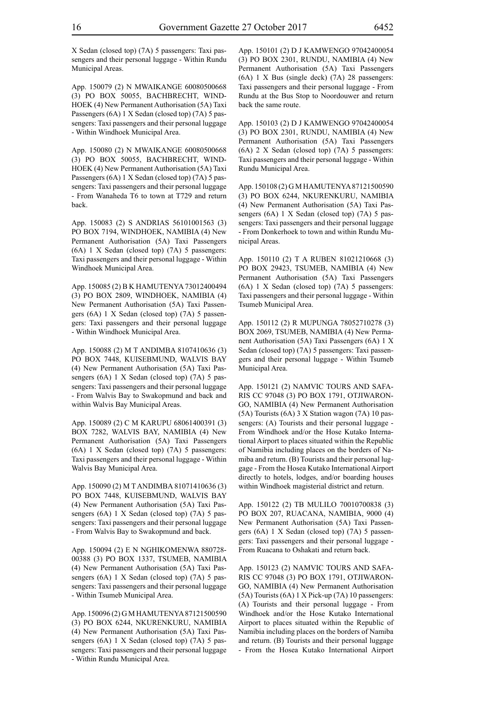X Sedan (closed top) (7A) 5 passengers: Taxi passengers and their personal luggage - Within Rundu Municipal Areas.

App. 150079 (2) N MWAIKANGE 60080500668 (3) PO BOX 50055, BACHBRECHT, WIND-HOEK (4) New Permanent Authorisation (5A) Taxi Passengers (6A) 1 X Sedan (closed top) (7A) 5 passengers: Taxi passengers and their personal luggage - Within Windhoek Municipal Area.

App. 150080 (2) N MWAIKANGE 60080500668 (3) PO BOX 50055, BACHBRECHT, WIND-HOEK (4) New Permanent Authorisation (5A) Taxi Passengers (6A) 1 X Sedan (closed top) (7A) 5 passengers: Taxi passengers and their personal luggage - From Wanaheda T6 to town at T729 and return back.

App. 150083 (2) S ANDRIAS 56101001563 (3) PO BOX 7194, WINDHOEK, NAMIBIA (4) New Permanent Authorisation (5A) Taxi Passengers (6A) 1 X Sedan (closed top) (7A) 5 passengers: Taxi passengers and their personal luggage - Within Windhoek Municipal Area.

App. 150085 (2) B K HAMUTENYA 73012400494 (3) PO BOX 2809, WINDHOEK, NAMIBIA (4) New Permanent Authorisation (5A) Taxi Passengers (6A) 1 X Sedan (closed top) (7A) 5 passengers: Taxi passengers and their personal luggage - Within Windhoek Municipal Area.

App. 150088 (2) M T ANDIMBA 8107410636 (3) PO BOX 7448, KUISEBMUND, WALVIS BAY (4) New Permanent Authorisation (5A) Taxi Passengers (6A) 1 X Sedan (closed top) (7A) 5 passengers: Taxi passengers and their personal luggage - From Walvis Bay to Swakopmund and back and within Walvis Bay Municipal Areas.

App. 150089 (2) C M KARUPU 68061400391 (3) BOX 7282, WALVIS BAY, NAMIBIA (4) New Permanent Authorisation (5A) Taxi Passengers (6A) 1 X Sedan (closed top) (7A) 5 passengers: Taxi passengers and their personal luggage - Within Walvis Bay Municipal Area.

App. 150090 (2) M T ANDIMBA 81071410636 (3) PO BOX 7448, KUISEBMUND, WALVIS BAY (4) New Permanent Authorisation (5A) Taxi Passengers (6A) 1 X Sedan (closed top) (7A) 5 passengers: Taxi passengers and their personal luggage - From Walvis Bay to Swakopmund and back.

App. 150094 (2) E N NGHIKOMENWA 880728- 00388 (3) PO BOX 1337, TSUMEB, NAMIBIA (4) New Permanent Authorisation (5A) Taxi Passengers (6A) 1 X Sedan (closed top) (7A) 5 passengers: Taxi passengers and their personal luggage - Within Tsumeb Municipal Area.

App. 150096 (2) G M HAMUTENYA 87121500590 (3) PO BOX 6244, NKURENKURU, NAMIBIA (4) New Permanent Authorisation (5A) Taxi Passengers (6A) 1 X Sedan (closed top) (7A) 5 passengers: Taxi passengers and their personal luggage - Within Rundu Municipal Area.

App. 150101 (2) D J KAMWENGO 97042400054 (3) PO BOX 2301, RUNDU, NAMIBIA (4) New Permanent Authorisation (5A) Taxi Passengers (6A) 1 X Bus (single deck) (7A) 28 passengers: Taxi passengers and their personal luggage - From Rundu at the Bus Stop to Noordouwer and return back the same route.

App. 150103 (2) D J KAMWENGO 97042400054 (3) PO BOX 2301, RUNDU, NAMIBIA (4) New Permanent Authorisation (5A) Taxi Passengers (6A) 2 X Sedan (closed top) (7A) 5 passengers: Taxi passengers and their personal luggage - Within Rundu Municipal Area.

App. 150108 (2) G M HAMUTENYA 87121500590 (3) PO BOX 6244, NKURENKURU, NAMIBIA (4) New Permanent Authorisation (5A) Taxi Passengers (6A) 1 X Sedan (closed top) (7A) 5 passengers: Taxi passengers and their personal luggage - From Donkerhoek to town and within Rundu Municipal Areas.

App. 150110 (2) T A RUBEN 81021210668 (3) PO BOX 29423, TSUMEB, NAMIBIA (4) New Permanent Authorisation (5A) Taxi Passengers (6A) 1 X Sedan (closed top) (7A) 5 passengers: Taxi passengers and their personal luggage - Within Tsumeb Municipal Area.

App. 150112 (2) R MUPUNGA 78052710278 (3) BOX 2069, TSUMEB, NAMIBIA (4) New Permanent Authorisation (5A) Taxi Passengers (6A) 1 X Sedan (closed top) (7A) 5 passengers: Taxi passengers and their personal luggage - Within Tsumeb Municipal Area.

App. 150121 (2) NAMVIC TOURS AND SAFA-RIS CC 97048 (3) PO BOX 1791, OTJIWARON-GO, NAMIBIA (4) New Permanent Authorisation (5A) Tourists (6A) 3 X Station wagon (7A) 10 passengers: (A) Tourists and their personal luggage - From Windhoek and/or the Hose Kutako International Airport to places situated within the Republic of Namibia including places on the borders of Namiba and return. (B) Tourists and their personal luggage - From the Hosea Kutako International Airport directly to hotels, lodges, and/or boarding houses within Windhoek magisterial district and return.

App. 150122 (2) TB MULILO 70010700838 (3) PO BOX 207, RUACANA, NAMIBIA, 9000 (4) New Permanent Authorisation (5A) Taxi Passengers (6A) 1 X Sedan (closed top) (7A) 5 passengers: Taxi passengers and their personal luggage - From Ruacana to Oshakati and return back.

App. 150123 (2) NAMVIC TOURS AND SAFA-RIS CC 97048 (3) PO BOX 1791, OTJIWARON-GO, NAMIBIA (4) New Permanent Authorisation (5A) Tourists (6A) 1 X Pick-up (7A) 10 passengers: (A) Tourists and their personal luggage - From Windhoek and/or the Hose Kutako International Airport to places situated within the Republic of Namibia including places on the borders of Namiba and return. (B) Tourists and their personal luggage - From the Hosea Kutako International Airport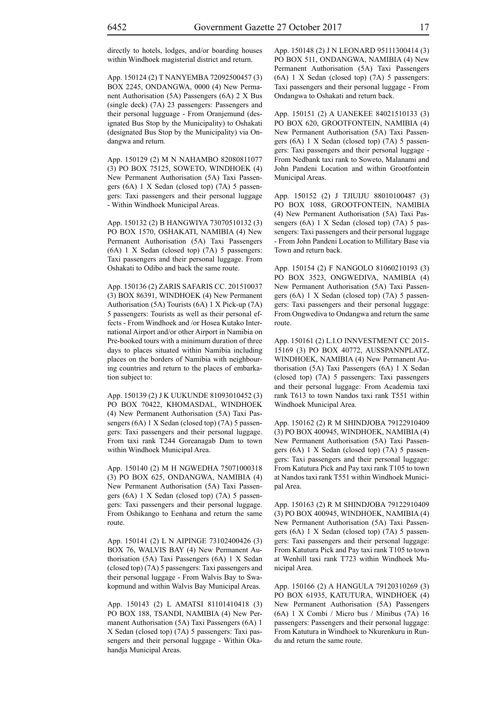directly to hotels, lodges, and/or boarding houses within Windhoek magisterial district and return.

App. 150124 (2) T NANYEMBA 72092500457 (3) BOX 2245, ONDANGWA, 0000 (4) New Permanent Authorisation (5A) Passengers (6A) 2 X Bus (single deck) (7A) 23 passengers: Passengers and their personal lugguage - From Oranjemund (designated Bus Stop by the Municipality) to Oshakati (designated Bus Stop by the Municipality) via Ondangwa and return.

App. 150129 (2) M N NAHAMBO 82080811077 (3) PO BOX 75125, SOWETO, WINDHOEK (4) New Permanent Authorisation (5A) Taxi Passengers (6A) 1 X Sedan (closed top) (7A) 5 passengers: Taxi passengers and their personal luggage - Within Windhoek Municipal Areas.

App. 150132 (2) B HANGWIYA 73070510132 (3) PO BOX 1570, OSHAKATI, NAMIBIA (4) New Permanent Authorisation (5A) Taxi Passengers (6A) 1 X Sedan (closed top) (7A) 5 passengers: Taxi passengers and their personal luggage. From Oshakati to Odibo and back the same route.

App. 150136 (2) ZARIS SAFARIS CC. 201510037 (3) BOX 86391, WINDHOEK (4) New Permanent Authorisation (5A) Tourists (6A) 1 X Pick-up (7A) 5 passengers: Tourists as well as their personal effects - From Windhoek and /or Hosea Kutako International Airport and/or other Airport in Namibia on Pre-booked tours with a minimum duration of three days to places situated within Namibia including places on the borders of Namibia with neighbouring countries and return to the places of embarkation subject to:

App. 150139 (2) J K UUKUNDE 81093010452 (3) PO BOX 70422, KHOMASDAL, WINDHOEK (4) New Permanent Authorisation (5A) Taxi Passengers (6A) 1 X Sedan (closed top) (7A) 5 passengers: Taxi passengers and their personal luggage. From taxi rank T244 Goreanagab Dam to town within Windhoek Municipal Area.

App. 150140 (2) M H NGWEDHA 75071000318 (3) PO BOX 625, ONDANGWA, NAMIBIA (4) New Permanent Authorisation (5A) Taxi Passengers (6A) 1 X Sedan (closed top) (7A) 5 passengers: Taxi passengers and their personal luggage. From Oshikango to Eenhana and return the same route.

App. 150141 (2) L N AIPINGE 73102400426 (3) BOX 76, WALVIS BAY (4) New Permanent Authorisation (5A) Taxi Passengers (6A) 1 X Sedan (closed top) (7A) 5 passengers: Taxi passengers and their personal luggage - From Walvis Bay to Swakopmund and within Walvis Bay Municipal Areas.

App. 150143 (2) L AMATSI 81101410418 (3) PO BOX 188, TSANDI, NAMIBIA (4) New Permanent Authorisation (5A) Taxi Passengers (6A) 1 X Sedan (closed top) (7A) 5 passengers: Taxi passengers and their personal luggage - Within Okahandja Municipal Areas.

App. 150148 (2) J N LEONARD 95111300414 (3) PO BOX 511, ONDANGWA, NAMIBIA (4) New Permanent Authorisation (5A) Taxi Passengers (6A) 1 X Sedan (closed top) (7A) 5 passengers: Taxi passengers and their personal luggage - From Ondangwa to Oshakati and return back.

App. 150151 (2) A UANEKEE 84021510133 (3) PO BOX 620, GROOTFONTEIN, NAMIBIA (4) New Permanent Authorisation (5A) Taxi Passengers (6A) 1 X Sedan (closed top) (7A) 5 passengers: Taxi passengers and their personal luggage - From Nedbank taxi rank to Soweto, Malanami and John Pandeni Location and within Grootfontein Municipal Areas.

App. 150152 (2) J TJIUIJU 88010100487 (3) PO BOX 1088, GROOTFONTEIN, NAMIBIA (4) New Permanent Authorisation (5A) Taxi Passengers (6A) 1 X Sedan (closed top) (7A) 5 passengers: Taxi passengers and their personal luggage - From John Pandeni Location to Millitary Base via Town and return back.

App. 150154 (2) F NANGOLO 81060210193 (3) PO BOX 3523, ONGWEDIVA, NAMIBIA (4) New Permanent Authorisation (5A) Taxi Passengers (6A) 1 X Sedan (closed top) (7A) 5 passengers: Taxi passengers and their personal luggage: From Ongwediva to Ondangwa and return the same route.

App. 150161 (2) L.I.O INNVESTMENT CC 2015- 15169 (3) PO BOX 40772, AUSSPANNPLATZ, WINDHOEK, NAMIBIA (4) New Permanent Authorisation (5A) Taxi Passengers (6A) 1 X Sedan (closed top) (7A) 5 passengers: Taxi passengers and their personal luggage: From Academia taxi rank T613 to town Nandos taxi rank T551 within Windhoek Municipal Area.

App. 150162 (2) R M SHINDJOBA 79122910409 (3) PO BOX 400945, WINDHOEK, NAMIBIA (4) New Permanent Authorisation (5A) Taxi Passengers (6A) 1 X Sedan (closed top) (7A) 5 passengers: Taxi passengers and their personal luggage: From Katutura Pick and Pay taxi rank T105 to town at Nandos taxi rank T551 within Windhoek Municipal Area.

App. 150163 (2) R M SHINDJOBA 79122910409 (3) PO BOX 400945, WINDHOEK, NAMIBIA (4) New Permanent Authorisation (5A) Taxi Passengers (6A) 1 X Sedan (closed top) (7A) 5 passengers: Taxi passengers and their personal luggage: From Katutura Pick and Pay taxi rank T105 to town at Wenhill taxi rank T723 within Windhoek Municipal Area.

App. 150166 (2) A HANGULA 79120310269 (3) PO BOX 61935, KATUTURA, WINDHOEK (4) New Permanent Authorisation (5A) Passengers (6A) 1 X Combi / Micro bus / Minibus (7A) 16 passengers: Passengers and their personal luggage: From Katutura in Windhoek to Nkurenkuru in Rundu and return the same route.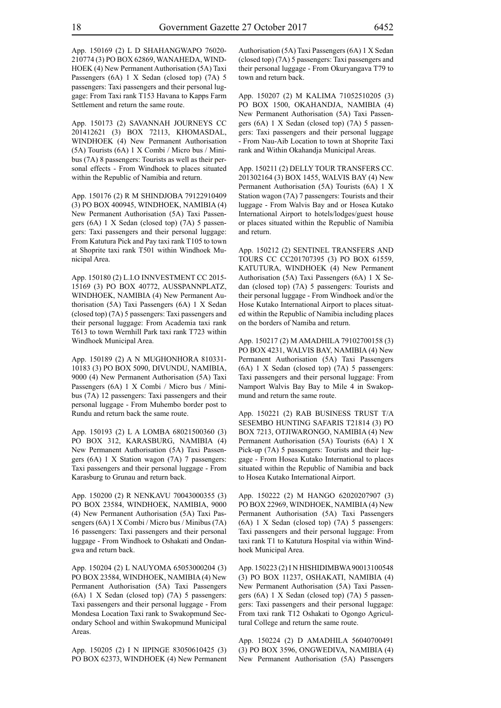App. 150169 (2) L D SHAHANGWAPO 76020- 210774 (3) PO BOX 62869, WANAHEDA, WIND-HOEK (4) New Permanent Authorisation (5A) Taxi Passengers (6A) 1 X Sedan (closed top) (7A) 5 passengers: Taxi passengers and their personal luggage: From Taxi rank T153 Havana to Kapps Farm Settlement and return the same route.

App. 150173 (2) SAVANNAH JOURNEYS CC 201412621 (3) BOX 72113, KHOMASDAL, WINDHOEK (4) New Permanent Authorisation (5A) Tourists (6A) 1 X Combi / Micro bus / Minibus (7A) 8 passengers: Tourists as well as their personal effects - From Windhoek to places situated within the Republic of Namibia and return.

App. 150176 (2) R M SHINDJOBA 79122910409 (3) PO BOX 400945, WINDHOEK, NAMIBIA (4) New Permanent Authorisation (5A) Taxi Passengers (6A) 1 X Sedan (closed top) (7A) 5 passengers: Taxi passengers and their personal luggage: From Katutura Pick and Pay taxi rank T105 to town at Shoprite taxi rank T501 within Windhoek Municipal Area.

App. 150180 (2) L.I.O INNVESTMENT CC 2015- 15169 (3) PO BOX 40772, AUSSPANNPLATZ, WINDHOEK, NAMIBIA (4) New Permanent Authorisation (5A) Taxi Passengers (6A) 1 X Sedan (closed top) (7A) 5 passengers: Taxi passengers and their personal luggage: From Academia taxi rank T613 to town Wernhill Park taxi rank T723 within Windhoek Municipal Area.

App. 150189 (2) A N MUGHONHORA 810331- 10183 (3) PO BOX 5090, DIVUNDU, NAMIBIA, 9000 (4) New Permanent Authorisation (5A) Taxi Passengers (6A) 1 X Combi / Micro bus / Minibus (7A) 12 passengers: Taxi passengers and their personal luggage - From Muhembo border post to Rundu and return back the same route.

App. 150193 (2) L A LOMBA 68021500360 (3) PO BOX 312, KARASBURG, NAMIBIA (4) New Permanent Authorisation (5A) Taxi Passengers (6A) 1 X Station wagon (7A) 7 passengers: Taxi passengers and their personal luggage - From Karasburg to Grunau and return back.

App. 150200 (2) R NENKAVU 70043000355 (3) PO BOX 23584, WINDHOEK, NAMIBIA, 9000 (4) New Permanent Authorisation (5A) Taxi Passengers (6A) 1 X Combi / Micro bus / Minibus (7A) 16 passengers: Taxi passengers and their personal luggage - From Windhoek to Oshakati and Ondangwa and return back.

App. 150204 (2) L NAUYOMA 65053000204 (3) PO BOX 23584, WINDHOEK, NAMIBIA (4) New Permanent Authorisation (5A) Taxi Passengers (6A) 1 X Sedan (closed top) (7A) 5 passengers: Taxi passengers and their personal luggage - From Mondesa Location Taxi rank to Swakopmund Secondary School and within Swakopmund Municipal Areas.

App. 150205 (2) I N IIPINGE 83050610425 (3) PO BOX 62373, WINDHOEK (4) New Permanent Authorisation (5A) Taxi Passengers (6A) 1 X Sedan (closed top) (7A) 5 passengers: Taxi passengers and their personal luggage - From Okuryangava T79 to town and return back.

App. 150207 (2) M KALIMA 71052510205 (3) PO BOX 1500, OKAHANDJA, NAMIBIA (4) New Permanent Authorisation (5A) Taxi Passengers (6A) 1 X Sedan (closed top) (7A) 5 passengers: Taxi passengers and their personal luggage - From Nau-Aib Location to town at Shoprite Taxi rank and Within Okahandja Municipal Areas.

App. 150211 (2) DELLY TOUR TRANSFERS CC. 201302164 (3) BOX 1455, WALVIS BAY (4) New Permanent Authorisation (5A) Tourists (6A) 1 X Station wagon (7A) 7 passengers: Tourists and their luggage - From Walvis Bay and or Hosea Kutako International Airport to hotels/lodges/guest house or places situated within the Republic of Namibia and return.

App. 150212 (2) SENTINEL TRANSFERS AND TOURS CC CC201707395 (3) PO BOX 61559, KATUTURA, WINDHOEK (4) New Permanent Authorisation (5A) Taxi Passengers (6A) 1 X Sedan (closed top) (7A) 5 passengers: Tourists and their personal luggage - From Windhoek and/or the Hose Kutako International Airport to places situated within the Republic of Namibia including places on the borders of Namiba and return.

App. 150217 (2) M AMADHILA 79102700158 (3) PO BOX 4231, WALVIS BAY, NAMIBIA (4) New Permanent Authorisation (5A) Taxi Passengers (6A) 1 X Sedan (closed top) (7A) 5 passengers: Taxi passengers and their personal luggage: From Namport Walvis Bay Bay to Mile 4 in Swakopmund and return the same route.

App. 150221 (2) RAB BUSINESS TRUST T/A SESEMBO HUNTING SAFARIS T21814 (3) PO BOX 7213, OTJIWARONGO, NAMIBIA (4) New Permanent Authorisation (5A) Tourists (6A) 1 X Pick-up (7A) 5 passengers: Tourists and their luggage - From Hosea Kutako International to places situated within the Republic of Namibia and back to Hosea Kutako International Airport.

App. 150222 (2) M HANGO 62020207907 (3) PO BOX 22969, WINDHOEK, NAMIBIA (4) New Permanent Authorisation (5A) Taxi Passengers (6A) 1 X Sedan (closed top) (7A) 5 passengers: Taxi passengers and their personal luggage: From taxi rank T1 to Katutura Hospital via within Windhoek Municipal Area.

App. 150223 (2) I N HISHIDIMBWA 90013100548 (3) PO BOX 11237, OSHAKATI, NAMIBIA (4) New Permanent Authorisation (5A) Taxi Passengers (6A) 1 X Sedan (closed top) (7A) 5 passengers: Taxi passengers and their personal luggage: From taxi rank T12 Oshakati to Ogongo Agricultural College and return the same route.

App. 150224 (2) D AMADHILA 56040700491 (3) PO BOX 3596, ONGWEDIVA, NAMIBIA (4) New Permanent Authorisation (5A) Passengers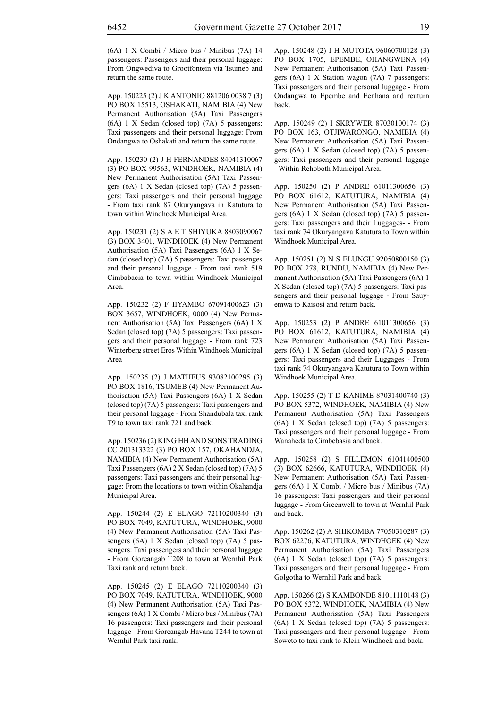(6A) 1 X Combi / Micro bus / Minibus (7A) 14 passengers: Passengers and their personal luggage: From Ongwediva to Grootfontein via Tsumeb and return the same route.

App. 150225 (2) J K ANTONIO 881206 0038 7 (3) PO BOX 15513, OSHAKATI, NAMIBIA (4) New Permanent Authorisation (5A) Taxi Passengers (6A) 1 X Sedan (closed top) (7A) 5 passengers: Taxi passengers and their personal luggage: From Ondangwa to Oshakati and return the same route.

App. 150230 (2) J H FERNANDES 84041310067 (3) PO BOX 99563, WINDHOEK, NAMIBIA (4) New Permanent Authorisation (5A) Taxi Passengers (6A) 1 X Sedan (closed top) (7A) 5 passengers: Taxi passengers and their personal luggage - From taxi rank 87 Okuryangava in Katutura to town within Windhoek Municipal Area.

App. 150231 (2) S A E T SHIYUKA 8803090067 (3) BOX 3401, WINDHOEK (4) New Permanent Authorisation (5A) Taxi Passengers (6A) 1 X Sedan (closed top) (7A) 5 passengers: Taxi passenges and their personal luggage - From taxi rank 519 Cimbabacia to town within Windhoek Municipal Area.

App. 150232 (2) F IIYAMBO 67091400623 (3) BOX 3657, WINDHOEK, 0000 (4) New Permanent Authorisation (5A) Taxi Passengers (6A) 1 X Sedan (closed top) (7A) 5 passengers: Taxi passengers and their personal luggage - From rank 723 Winterberg street Eros Within Windhoek Municipal Area

App. 150235 (2) J MATHEUS 93082100295 (3) PO BOX 1816, TSUMEB (4) New Permanent Authorisation (5A) Taxi Passengers (6A) 1 X Sedan (closed top) (7A) 5 passengers: Taxi passengers and their personal luggage - From Shandubala taxi rank T9 to town taxi rank 721 and back.

App. 150236 (2) KING HH AND SONS TRADING CC 201313322 (3) PO BOX 157, OKAHANDJA, NAMIBIA (4) New Permanent Authorisation (5A) Taxi Passengers (6A) 2 X Sedan (closed top) (7A) 5 passengers: Taxi passengers and their personal luggage: From the locations to town within Okahandja Municipal Area.

App. 150244 (2) E ELAGO 72110200340 (3) PO BOX 7049, KATUTURA, WINDHOEK, 9000 (4) New Permanent Authorisation (5A) Taxi Passengers (6A) 1 X Sedan (closed top) (7A) 5 passengers: Taxi passengers and their personal luggage - From Goreangab T208 to town at Wernhil Park Taxi rank and return back.

App. 150245 (2) E ELAGO 72110200340 (3) PO BOX 7049, KATUTURA, WINDHOEK, 9000 (4) New Permanent Authorisation (5A) Taxi Passengers (6A) 1 X Combi / Micro bus / Minibus (7A) 16 passengers: Taxi passengers and their personal luggage - From Goreangab Havana T244 to town at Wernhil Park taxi rank.

App. 150248 (2) I H MUTOTA 96060700128 (3) PO BOX 1705, EPEMBE, OHANGWENA (4) New Permanent Authorisation (5A) Taxi Passengers (6A) 1 X Station wagon (7A) 7 passengers: Taxi passengers and their personal luggage - From Ondangwa to Epembe and Eenhana and reuturn back.

App. 150249 (2) I SKRYWER 87030100174 (3) PO BOX 163, OTJIWARONGO, NAMIBIA (4) New Permanent Authorisation (5A) Taxi Passengers (6A) 1 X Sedan (closed top) (7A) 5 passengers: Taxi passengers and their personal luggage - Within Rehoboth Municipal Area.

App. 150250 (2) P ANDRE 61011300656 (3) PO BOX 61612, KATUTURA, NAMIBIA (4) New Permanent Authorisation (5A) Taxi Passengers (6A) 1 X Sedan (closed top) (7A) 5 passengers: Taxi passengers and their Luggages- - From taxi rank 74 Okuryangava Katutura to Town within Windhoek Municipal Area.

App. 150251 (2) N S ELUNGU 92050800150 (3) PO BOX 278, RUNDU, NAMIBIA (4) New Permanent Authorisation (5A) Taxi Passengers (6A) 1 X Sedan (closed top) (7A) 5 passengers: Taxi passengers and their personal luggage - From Sauyemwa to Kaisosi and return back.

App. 150253 (2) P ANDRE 61011300656 (3) PO BOX 61612, KATUTURA, NAMIBIA (4) New Permanent Authorisation (5A) Taxi Passengers (6A) 1 X Sedan (closed top) (7A) 5 passengers: Taxi passengers and their Luggages - From taxi rank 74 Okuryangava Katutura to Town within Windhoek Municipal Area.

App. 150255 (2) T D KANIME 87031400740 (3) PO BOX 5372, WINDHOEK, NAMIBIA (4) New Permanent Authorisation (5A) Taxi Passengers (6A) 1 X Sedan (closed top) (7A) 5 passengers: Taxi passengers and their personal luggage - From Wanaheda to Cimbebasia and back.

App. 150258 (2) S FILLEMON 61041400500 (3) BOX 62666, KATUTURA, WINDHOEK (4) New Permanent Authorisation (5A) Taxi Passengers (6A) 1 X Combi / Micro bus / Minibus (7A) 16 passengers: Taxi passengers and their personal luggage - From Greenwell to town at Wernhil Park and back.

App. 150262 (2) A SHIKOMBA 77050310287 (3) BOX 62276, KATUTURA, WINDHOEK (4) New Permanent Authorisation (5A) Taxi Passengers (6A) 1 X Sedan (closed top) (7A) 5 passengers: Taxi passengers and their personal luggage - From Golgotha to Wernhil Park and back.

App. 150266 (2) S KAMBONDE 81011110148 (3) PO BOX 5372, WINDHOEK, NAMIBIA (4) New Permanent Authorisation (5A) Taxi Passengers (6A) 1 X Sedan (closed top) (7A) 5 passengers: Taxi passengers and their personal luggage - From Soweto to taxi rank to Klein Windhoek and back.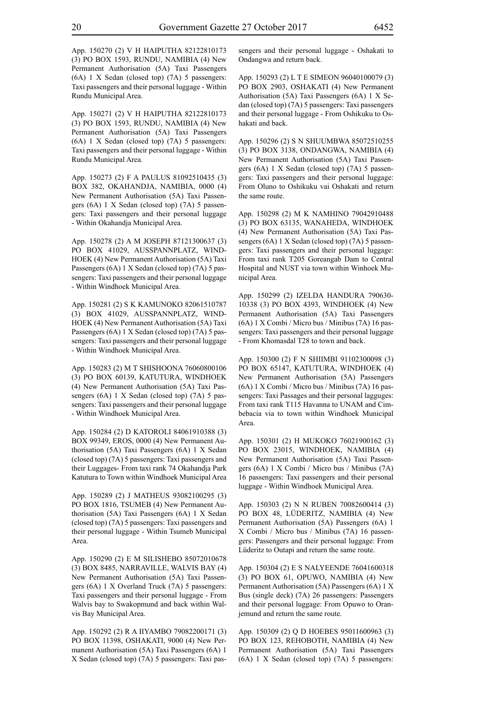App. 150270 (2) V H HAIPUTHA 82122810173 (3) PO BOX 1593, RUNDU, NAMIBIA (4) New Permanent Authorisation (5A) Taxi Passengers (6A) 1 X Sedan (closed top) (7A) 5 passengers: Taxi passengers and their personal luggage - Within Rundu Municipal Area.

App. 150271 (2) V H HAIPUTHA 82122810173 (3) PO BOX 1593, RUNDU, NAMIBIA (4) New Permanent Authorisation (5A) Taxi Passengers (6A) 1 X Sedan (closed top) (7A) 5 passengers: Taxi passengers and their personal luggage - Within Rundu Municipal Area.

App. 150273 (2) F A PAULUS 81092510435 (3) BOX 382, OKAHANDJA, NAMIBIA, 0000 (4) New Permanent Authorisation (5A) Taxi Passengers (6A) 1 X Sedan (closed top) (7A) 5 passengers: Taxi passengers and their personal luggage - Within Okahandja Municipal Area.

App. 150278 (2) A M JOSEPH 87121300637 (3) PO BOX 41029, AUSSPANNPLATZ, WIND-HOEK (4) New Permanent Authorisation (5A) Taxi Passengers (6A) 1 X Sedan (closed top) (7A) 5 passengers: Taxi passengers and their personal luggage - Within Windhoek Municipal Area.

App. 150281 (2) S K KAMUNOKO 82061510787 (3) BOX 41029, AUSSPANNPLATZ, WIND-HOEK (4) New Permanent Authorisation (5A) Taxi Passengers (6A) 1 X Sedan (closed top) (7A) 5 passengers: Taxi passengers and their personal luggage - Within Windhoek Municipal Area.

App. 150283 (2) M T SHISHOONA 76060800106 (3) PO BOX 60139, KATUTURA, WINDHOEK (4) New Permanent Authorisation (5A) Taxi Passengers (6A) 1 X Sedan (closed top) (7A) 5 passengers: Taxi passengers and their personal luggage - Within Windhoek Municipal Area.

App. 150284 (2) D KATOROLI 84061910388 (3) BOX 99349, EROS, 0000 (4) New Permanent Authorisation (5A) Taxi Passengers (6A) 1 X Sedan (closed top) (7A) 5 passengers: Taxi passengers and their Luggages- From taxi rank 74 Okahandja Park Katutura to Town within Windhoek Municipal Area

App. 150289 (2) J MATHEUS 93082100295 (3) PO BOX 1816, TSUMEB (4) New Permanent Authorisation (5A) Taxi Passengers (6A) 1 X Sedan (closed top) (7A) 5 passengers: Taxi passengers and their personal luggage - Within Tsumeb Municipal Area.

App. 150290 (2) E M SILISHEBO 85072010678 (3) BOX 8485, NARRAVILLE, WALVIS BAY (4) New Permanent Authorisation (5A) Taxi Passengers (6A) 1 X Overland Truck (7A) 5 passengers: Taxi passengers and their personal luggage - From Walvis bay to Swakopmund and back within Walvis Bay Municipal Area.

App. 150292 (2) R A IIYAMBO 79082200171 (3) PO BOX 11398, OSHAKATI, 9000 (4) New Permanent Authorisation (5A) Taxi Passengers (6A) 1 X Sedan (closed top) (7A) 5 passengers: Taxi passengers and their personal luggage - Oshakati to Ondangwa and return back.

App. 150293 (2) L T E SIMEON 96040100079 (3) PO BOX 2903, OSHAKATI (4) New Permanent Authorisation (5A) Taxi Passengers (6A) 1 X Sedan (closed top) (7A) 5 passengers: Taxi passengers and their personal luggage - From Oshikuku to Oshakati and back.

App. 150296 (2) S N SHUUMBWA 85072510255 (3) PO BOX 3138, ONDANGWA, NAMIBIA (4) New Permanent Authorisation (5A) Taxi Passengers (6A) 1 X Sedan (closed top) (7A) 5 passengers: Taxi passengers and their personal luggage: From Oluno to Oshikuku vai Oshakati and return the same route.

App. 150298 (2) M K NAMHINO 79042910488 (3) PO BOX 63135, WANAHEDA, WINDHOEK (4) New Permanent Authorisation (5A) Taxi Passengers (6A) 1 X Sedan (closed top) (7A) 5 passengers: Taxi passengers and their personal luggage: From taxi rank T205 Goreangab Dam to Central Hospital and NUST via town within Winhoek Municipal Area.

App. 150299 (2) IZELDA HANDURA 790630- 10338 (3) PO BOX 4393, WINDHOEK (4) New Permanent Authorisation (5A) Taxi Passengers (6A) 1 X Combi / Micro bus / Minibus (7A) 16 passengers: Taxi passengers and their personal luggage - From Khomasdal T28 to town and back.

App. 150300 (2) F N SHIIMBI 91102300098 (3) PO BOX 65147, KATUTURA, WINDHOEK (4) New Permanent Authorisation (5A) Passengers (6A) 1 X Combi / Micro bus / Minibus (7A) 16 passengers: Taxi Passages and their personal lagguges: From taxi rank T115 Havanna to UNAM and Cimbebacia via to town within Windhoek Municipal Area.

App. 150301 (2) H MUKOKO 76021900162 (3) PO BOX 23015, WINDHOEK, NAMIBIA (4) New Permanent Authorisation (5A) Taxi Passengers (6A) 1 X Combi / Micro bus / Minibus (7A) 16 passengers: Taxi passengers and their personal luggage - Within Windhoek Municipal Area.

App. 150303 (2) N N RUBEN 70082600414 (3) PO BOX 48, LÜDERITZ, NAMIBIA (4) New Permanent Authorisation (5A) Passengers (6A) 1 X Combi / Micro bus / Minibus (7A) 16 passengers: Passengers and their personal luggage: From Lüderitz to Outapi and return the same route.

App. 150304 (2) E S NALYEENDE 76041600318 (3) PO BOX 61, OPUWO, NAMIBIA (4) New Permanent Authorisation (5A) Passengers (6A) 1 X Bus (single deck) (7A) 26 passengers: Passengers and their personal luggage: From Opuwo to Oranjemund and return the same route.

App. 150309 (2) Q D HOEBES 95011600963 (3) PO BOX 123, REHOBOTH, NAMIBIA (4) New Permanent Authorisation (5A) Taxi Passengers (6A) 1 X Sedan (closed top) (7A) 5 passengers: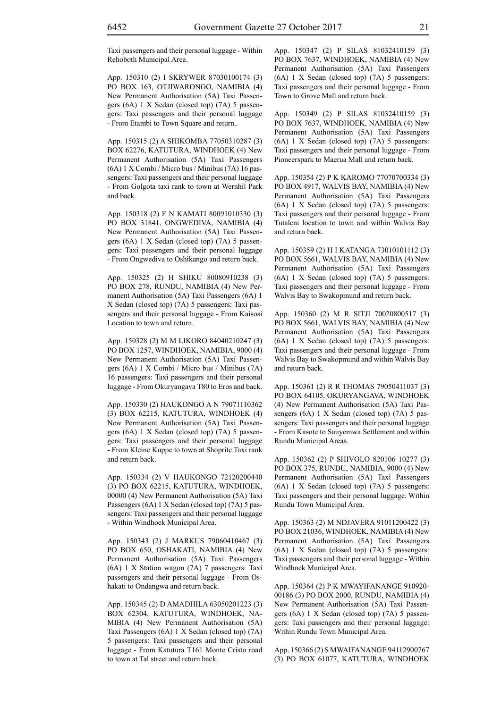Taxi passengers and their personal luggage - Within Rehoboth Municipal Area.

App. 150310 (2) I SKRYWER 87030100174 (3) PO BOX 163, OTJIWARONGO, NAMIBIA (4) New Permanent Authorisation (5A) Taxi Passengers (6A) 1 X Sedan (closed top) (7A) 5 passengers: Taxi passengers and their personal luggage - From Etambi to Town Square and return..

App. 150315 (2) A SHIKOMBA 77050310287 (3) BOX 62276, KATUTURA, WINDHOEK (4) New Permanent Authorisation (5A) Taxi Passengers (6A) 1 X Combi / Micro bus / Minibus (7A) 16 passengers: Taxi passengers and their personal luggage - From Golgota taxi rank to town at Wernhil Park and back.

App. 150318 (2) F N KAMATI 80091010330 (3) PO BOX 31841, ONGWEDIVA, NAMIBIA (4) New Permanent Authorisation (5A) Taxi Passengers (6A) 1 X Sedan (closed top) (7A) 5 passengers: Taxi passengers and their personal luggage - From Ongwediva to Oshikango and return back.

App. 150325 (2) H SHIKU 80080910238 (3) PO BOX 278, RUNDU, NAMIBIA (4) New Permanent Authorisation (5A) Taxi Passengers (6A) 1 X Sedan (closed top) (7A) 5 passengers: Taxi passengers and their personal luggage - From Kaisosi Location to town and return.

App. 150328 (2) M M LIKORO 84040210247 (3) PO BOX 1257, WINDHOEK, NAMIBIA, 9000 (4) New Permanent Authorisation (5A) Taxi Passengers (6A) 1 X Combi / Micro bus / Minibus (7A) 16 passengers: Taxi passengers and their personal luggage - From Okuryangava T80 to Eros and back.

App. 150330 (2) HAUKONGO A N 79071110362 (3) BOX 62215, KATUTURA, WINDHOEK (4) New Permanent Authorisation (5A) Taxi Passengers (6A) 1 X Sedan (closed top) (7A) 5 passengers: Taxi passengers and their personal luggage - From Kleine Kuppe to town at Shoprite Taxi rank and return back.

App. 150334 (2) V HAUKONGO 72120200440 (3) PO BOX 62215, KATUTURA, WINDHOEK, 00000 (4) New Permanent Authorisation (5A) Taxi Passengers (6A) 1 X Sedan (closed top) (7A) 5 passengers: Taxi passengers and their personal luggage - Within Windhoek Municipal Area.

App. 150343 (2) J MARKUS 79060410467 (3) PO BOX 650, OSHAKATI, NAMIBIA (4) New Permanent Authorisation (5A) Taxi Passengers (6A) 1 X Station wagon (7A) 7 passengers: Taxi passengers and their personal luggage - From Oshakati to Ondangwa and return back.

App. 150345 (2) D AMADHILA 63050201223 (3) BOX 62304, KATUTURA, WINDHOEK, NA-MIBIA (4) New Permanent Authorisation (5A) Taxi Passengers (6A) 1 X Sedan (closed top) (7A) 5 passengers: Taxi passengers and their personal luggage - From Katutura T161 Monte Cristo road to town at Tal street and return back.

App. 150347 (2) P SILAS 81032410159 (3) PO BOX 7637, WINDHOEK, NAMIBIA (4) New Permanent Authorisation (5A) Taxi Passengers (6A) 1 X Sedan (closed top) (7A) 5 passengers: Taxi passengers and their personal luggage - From Town to Grove Mall and return back.

App. 150349 (2) P SILAS 81032410159 (3) PO BOX 7637, WINDHOEK, NAMIBIA (4) New Permanent Authorisation (5A) Taxi Passengers (6A) 1 X Sedan (closed top) (7A) 5 passengers: Taxi passengers and their personal luggage - From Pioneerspark to Maerua Mall and return back.

App. 150354 (2) P K KAROMO 77070700334 (3) PO BOX 4917, WALVIS BAY, NAMIBIA (4) New Permanent Authorisation (5A) Taxi Passengers (6A) 1 X Sedan (closed top) (7A) 5 passengers: Taxi passengers and their personal luggage - From Tutaleni location to town and within Walvis Bay and return back.

App. 150359 (2) H I KATANGA 73010101112 (3) PO BOX 5661, WALVIS BAY, NAMIBIA (4) New Permanent Authorisation (5A) Taxi Passengers (6A) 1 X Sedan (closed top) (7A) 5 passengers: Taxi passengers and their personal luggage - From Walvis Bay to Swakopmund and return back.

App. 150360 (2) M R SITJI 70020800517 (3) PO BOX 5661, WALVIS BAY, NAMIBIA (4) New Permanent Authorisation (5A) Taxi Passengers (6A) 1 X Sedan (closed top) (7A) 5 passengers: Taxi passengers and their personal luggage - From Walvis Bay to Swakopmund and within Walvis Bay and return back.

App. 150361 (2) R R THOMAS 79050411037 (3) PO BOX 64105, OKURYANGAVA, WINDHOEK (4) New Permanent Authorisation (5A) Taxi Passengers (6A) 1 X Sedan (closed top) (7A) 5 passengers: Taxi passengers and their personal luggage - From Kasote to Sauyemwa Settlement and within Rundu Municipal Areas.

App. 150362 (2) P SHIVOLO 820106 10277 (3) PO BOX 375, RUNDU, NAMIBIA, 9000 (4) New Permanent Authorisation (5A) Taxi Passengers (6A) 1 X Sedan (closed top) (7A) 5 passengers: Taxi passengers and their personal luggage: Within Rundu Town Municipal Area.

App. 150363 (2) M NDJAVERA 91011200422 (3) PO BOX 21036, WINDHOEK, NAMIBIA (4) New Permanent Authorisation (5A) Taxi Passengers (6A) 1 X Sedan (closed top) (7A) 5 passengers: Taxi passengers and their personal luggage - Within Windhoek Municipal Area.

App. 150364 (2) P K MWAYIFANANGE 910920- 00186 (3) PO BOX 2000, RUNDU, NAMIBIA (4) New Permanent Authorisation (5A) Taxi Passengers (6A) 1 X Sedan (closed top) (7A) 5 passengers: Taxi passengers and their personal luggage: Within Rundu Town Municipal Area.

App. 150366 (2) S MWAIFANANGE 94112900767 (3) PO BOX 61077, KATUTURA, WINDHOEK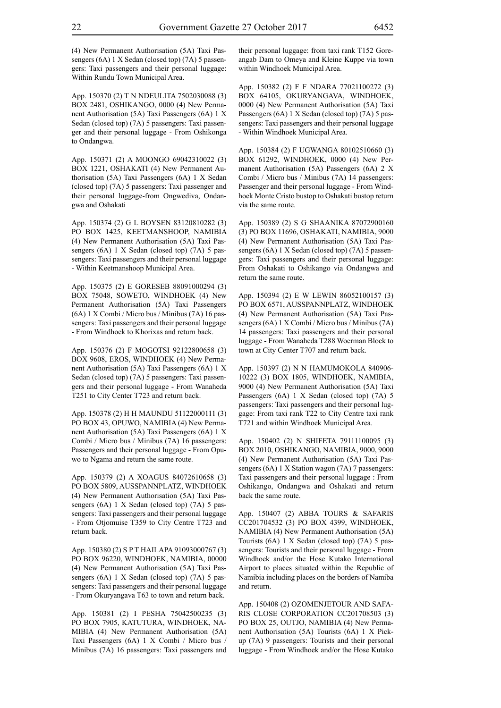(4) New Permanent Authorisation (5A) Taxi Passengers (6A) 1 X Sedan (closed top) (7A) 5 passengers: Taxi passengers and their personal luggage: Within Rundu Town Municipal Area.

App. 150370 (2) T N NDEULITA 7502030088 (3) BOX 2481, OSHIKANGO, 0000 (4) New Permanent Authorisation (5A) Taxi Passengers (6A) 1 X Sedan (closed top) (7A) 5 passengers: Taxi passenger and their personal luggage - From Oshikonga to Ondangwa.

App. 150371 (2) A MOONGO 69042310022 (3) BOX 1221, OSHAKATI (4) New Permanent Authorisation (5A) Taxi Passengers (6A) 1 X Sedan (closed top) (7A) 5 passengers: Taxi passenger and their personal luggage-from Ongwediva, Ondangwa and Oshakati

App. 150374 (2) G L BOYSEN 83120810282 (3) PO BOX 1425, KEETMANSHOOP, NAMIBIA (4) New Permanent Authorisation (5A) Taxi Passengers (6A) 1 X Sedan (closed top) (7A) 5 passengers: Taxi passengers and their personal luggage - Within Keetmanshoop Municipal Area.

App. 150375 (2) E GORESEB 88091000294 (3) BOX 75048, SOWETO, WINDHOEK (4) New Permanent Authorisation (5A) Taxi Passengers (6A) 1 X Combi / Micro bus / Minibus (7A) 16 passengers: Taxi passengers and their personal luggage - From Windhoek to Khorixas and return back.

App. 150376 (2) F MOGOTSI 92122800658 (3) BOX 9608, EROS, WINDHOEK (4) New Permanent Authorisation (5A) Taxi Passengers (6A) 1 X Sedan (closed top) (7A) 5 passengers: Taxi passengers and their personal luggage - From Wanaheda T251 to City Center T723 and return back.

App. 150378 (2) H H MAUNDU 51122000111 (3) PO BOX 43, OPUWO, NAMIBIA (4) New Permanent Authorisation (5A) Taxi Passengers (6A) 1 X Combi / Micro bus / Minibus (7A) 16 passengers: Passengers and their personal luggage - From Opuwo to Ngama and return the same route.

App. 150379 (2) A XOAGUS 84072610658 (3) PO BOX 5809, AUSSPANNPLATZ, WINDHOEK (4) New Permanent Authorisation (5A) Taxi Passengers (6A) 1 X Sedan (closed top) (7A) 5 passengers: Taxi passengers and their personal luggage - From Otjomuise T359 to City Centre T723 and return back.

App. 150380 (2) S P T HAILAPA 91093000767 (3) PO BOX 96220, WINDHOEK, NAMIBIA, 00000 (4) New Permanent Authorisation (5A) Taxi Passengers (6A) 1 X Sedan (closed top) (7A) 5 passengers: Taxi passengers and their personal luggage - From Okuryangava T63 to town and return back.

App. 150381 (2) I PESHA 75042500235 (3) PO BOX 7905, KATUTURA, WINDHOEK, NA-MIBIA (4) New Permanent Authorisation (5A) Taxi Passengers (6A) 1 X Combi / Micro bus / Minibus (7A) 16 passengers: Taxi passengers and their personal luggage: from taxi rank T152 Goreangab Dam to Omeya and Kleine Kuppe via town within Windhoek Municipal Area.

App. 150382 (2) F F NDARA 77021100272 (3) BOX 64105, OKURYANGAVA, WINDHOEK, 0000 (4) New Permanent Authorisation (5A) Taxi Passengers (6A) 1 X Sedan (closed top) (7A) 5 passengers: Taxi passengers and their personal luggage - Within Windhoek Municipal Area.

App. 150384 (2) F UGWANGA 80102510660 (3) BOX 61292, WINDHOEK, 0000 (4) New Permanent Authorisation (5A) Passengers (6A) 2 X Combi / Micro bus / Minibus (7A) 14 passengers: Passenger and their personal luggage - From Windhoek Monte Cristo bustop to Oshakati bustop return via the same route.

App. 150389 (2) S G SHAANIKA 87072900160 (3) PO BOX 11696, OSHAKATI, NAMIBIA, 9000 (4) New Permanent Authorisation (5A) Taxi Passengers (6A) 1 X Sedan (closed top) (7A) 5 passengers: Taxi passengers and their personal luggage: From Oshakati to Oshikango via Ondangwa and return the same route.

App. 150394 (2) E W LEWIN 86052100157 (3) PO BOX 6571, AUSSPANNPLATZ, WINDHOEK (4) New Permanent Authorisation (5A) Taxi Passengers (6A) 1 X Combi / Micro bus / Minibus (7A) 14 passengers: Taxi passengers and their personal luggage - From Wanaheda T288 Woerman Block to town at City Center T707 and return back.

App. 150397 (2) N N HAMUMOKOLA 840906- 10222 (3) BOX 1805, WINDHOEK, NAMIBIA, 9000 (4) New Permanent Authorisation (5A) Taxi Passengers (6A) 1 X Sedan (closed top) (7A) 5 passengers: Taxi passengers and their personal luggage: From taxi rank T22 to City Centre taxi rank T721 and within Windhoek Municipal Area.

App. 150402 (2) N SHIFETA 79111100095 (3) BOX 2010, OSHIKANGO, NAMIBIA, 9000, 9000 (4) New Permanent Authorisation (5A) Taxi Passengers (6A) 1 X Station wagon (7A) 7 passengers: Taxi passengers and their personal luggage : From Oshikango, Ondangwa and Oshakati and return back the same route.

App. 150407 (2) ABBA TOURS & SAFARIS CC201704532 (3) PO BOX 4399, WINDHOEK, NAMIBIA (4) New Permanent Authorisation (5A) Tourists (6A) 1 X Sedan (closed top) (7A) 5 passengers: Tourists and their personal luggage - From Windhoek and/or the Hose Kutako International Airport to places situated within the Republic of Namibia including places on the borders of Namiba and return.

App. 150408 (2) OZOMENJETOUR AND SAFA-RIS CLOSE CORPORATION CC201708503 (3) PO BOX 25, OUTJO, NAMIBIA (4) New Permanent Authorisation (5A) Tourists (6A) 1 X Pickup (7A) 9 passengers: Tourists and their personal luggage - From Windhoek and/or the Hose Kutako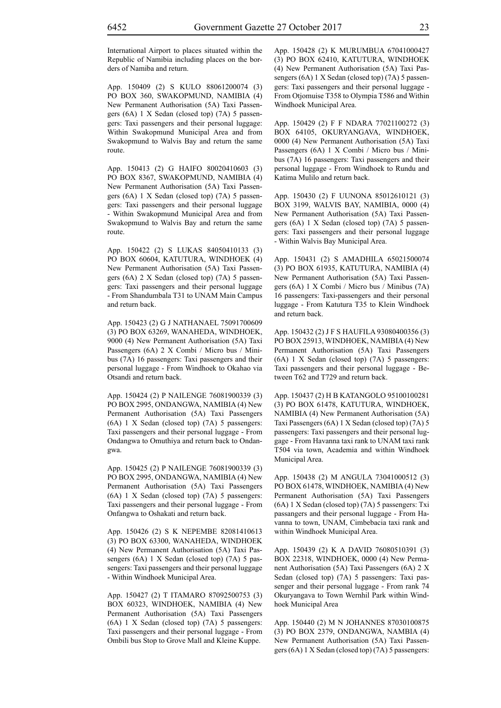International Airport to places situated within the Republic of Namibia including places on the borders of Namiba and return.

App. 150409 (2) S KULO 88061200074 (3) PO BOX 360, SWAKOPMUND, NAMIBIA (4) New Permanent Authorisation (5A) Taxi Passengers (6A) 1 X Sedan (closed top) (7A) 5 passengers: Taxi passengers and their personal luggage: Within Swakopmund Municipal Area and from Swakopmund to Walvis Bay and return the same route.

App. 150413 (2) G HAIFO 80020410603 (3) PO BOX 8367, SWAKOPMUND, NAMIBIA (4) New Permanent Authorisation (5A) Taxi Passengers (6A) 1 X Sedan (closed top) (7A) 5 passengers: Taxi passengers and their personal luggage - Within Swakopmund Municipal Area and from Swakopmund to Walvis Bay and return the same route.

App. 150422 (2) S LUKAS 84050410133 (3) PO BOX 60604, KATUTURA, WINDHOEK (4) New Permanent Authorisation (5A) Taxi Passengers (6A) 2 X Sedan (closed top) (7A) 5 passengers: Taxi passengers and their personal luggage - From Shandumbala T31 to UNAM Main Campus and return back.

App. 150423 (2) G J NATHANAEL 75091700609 (3) PO BOX 63269, WANAHEDA, WINDHOEK, 9000 (4) New Permanent Authorisation (5A) Taxi Passengers (6A) 2 X Combi / Micro bus / Minibus (7A) 16 passengers: Taxi passengers and their personal luggage - From Windhoek to Okahao via Otsandi and return back.

App. 150424 (2) P NAILENGE 76081900339 (3) PO BOX 2995, ONDANGWA, NAMIBIA (4) New Permanent Authorisation (5A) Taxi Passengers (6A) 1 X Sedan (closed top) (7A) 5 passengers: Taxi passengers and their personal luggage - From Ondangwa to Omuthiya and return back to Ondangwa.

App. 150425 (2) P NAILENGE 76081900339 (3) PO BOX 2995, ONDANGWA, NAMIBIA (4) New Permanent Authorisation (5A) Taxi Passengers (6A) 1 X Sedan (closed top) (7A) 5 passengers: Taxi passengers and their personal luggage - From Onfangwa to Oshakati and return back.

App. 150426 (2) S K NEPEMBE 82081410613 (3) PO BOX 63300, WANAHEDA, WINDHOEK (4) New Permanent Authorisation (5A) Taxi Passengers (6A) 1 X Sedan (closed top) (7A) 5 passengers: Taxi passengers and their personal luggage - Within Windhoek Municipal Area.

App. 150427 (2) T ITAMARO 87092500753 (3) BOX 60323, WINDHOEK, NAMIBIA (4) New Permanent Authorisation (5A) Taxi Passengers (6A) 1 X Sedan (closed top) (7A) 5 passengers: Taxi passengers and their personal luggage - From Ombili bus Stop to Grove Mall and Kleine Kuppe.

App. 150428 (2) K MURUMBUA 67041000427 (3) PO BOX 62410, KATUTURA, WINDHOEK (4) New Permanent Authorisation (5A) Taxi Passengers (6A) 1 X Sedan (closed top) (7A) 5 passengers: Taxi passengers and their personal luggage - From Otjomuise T358 to Olympia T586 and Within Windhoek Municipal Area.

App. 150429 (2) F F NDARA 77021100272 (3) BOX 64105, OKURYANGAVA, WINDHOEK, 0000 (4) New Permanent Authorisation (5A) Taxi Passengers (6A) 1 X Combi / Micro bus / Minibus (7A) 16 passengers: Taxi passengers and their personal luggage - From Windhoek to Rundu and Katima Mulilo and return back.

App. 150430 (2) F UUNONA 85012610121 (3) BOX 3199, WALVIS BAY, NAMIBIA, 0000 (4) New Permanent Authorisation (5A) Taxi Passengers (6A) 1 X Sedan (closed top) (7A) 5 passengers: Taxi passengers and their personal luggage - Within Walvis Bay Municipal Area.

App. 150431 (2) S AMADHILA 65021500074 (3) PO BOX 61935, KATUTURA, NAMIBIA (4) New Permanent Authorisation (5A) Taxi Passengers (6A) 1 X Combi / Micro bus / Minibus (7A) 16 passengers: Taxi-passengers and their personal luggage - From Katutura T35 to Klein Windhoek and return back.

App. 150432 (2) J F S HAUFILA 93080400356 (3) PO BOX 25913, WINDHOEK, NAMIBIA (4) New Permanent Authorisation (5A) Taxi Passengers (6A) 1 X Sedan (closed top) (7A) 5 passengers: Taxi passengers and their personal luggage - Between T62 and T729 and return back.

App. 150437 (2) H B KATANGOLO 95100100281 (3) PO BOX 61478, KATUTURA, WINDHOEK, NAMIBIA (4) New Permanent Authorisation (5A) Taxi Passengers (6A) 1 X Sedan (closed top) (7A) 5 passengers: Taxi passengers and their personal luggage - From Havanna taxi rank to UNAM taxi rank T504 via town, Academia and within Windhoek Municipal Area.

App. 150438 (2) M ANGULA 73041000512 (3) PO BOX 61478, WINDHOEK, NAMIBIA (4) New Permanent Authorisation (5A) Taxi Passengers (6A) 1 X Sedan (closed top) (7A) 5 passengers: Txi passangers and their personal luggage - From Havanna to town, UNAM, Cimbebacia taxi rank and within Windhoek Municipal Area.

App. 150439 (2) K A DAVID 76080510391 (3) BOX 22318, WINDHOEK, 0000 (4) New Permanent Authorisation (5A) Taxi Passengers (6A) 2 X Sedan (closed top) (7A) 5 passengers: Taxi passenger and their personal luggage - From rank 74 Okuryangava to Town Wernhil Park within Windhoek Municipal Area

App. 150440 (2) M N JOHANNES 87030100875 (3) PO BOX 2379, ONDANGWA, NAMBIA (4) New Permanent Authorisation (5A) Taxi Passengers (6A) 1 X Sedan (closed top) (7A) 5 passengers: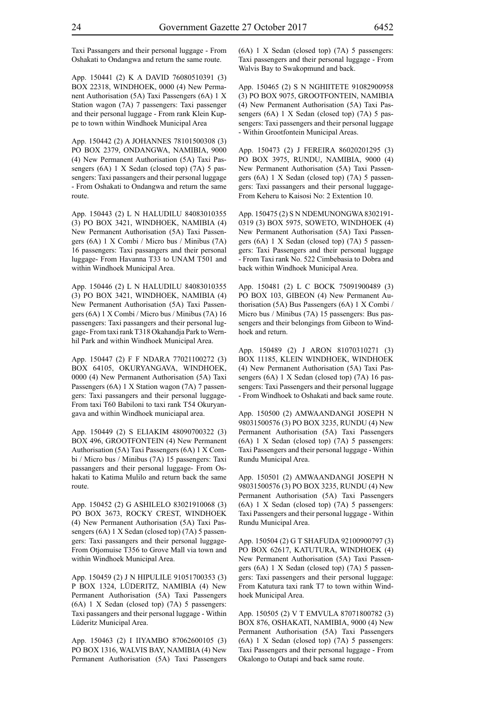Taxi Passangers and their personal luggage - From Oshakati to Ondangwa and return the same route.

App. 150441 (2) K A DAVID 76080510391 (3) BOX 22318, WINDHOEK, 0000 (4) New Permanent Authorisation (5A) Taxi Passengers (6A) 1 X Station wagon (7A) 7 passengers: Taxi passenger and their personal luggage - From rank Klein Kuppe to town within Windhoek Municipal Area

App. 150442 (2) A JOHANNES 78101500308 (3) PO BOX 2379, ONDANGWA, NAMIBIA, 9000 (4) New Permanent Authorisation (5A) Taxi Passengers (6A) 1 X Sedan (closed top) (7A) 5 passengers: Taxi passangers and their personal luggage - From Oshakati to Ondangwa and return the same route.

App. 150443 (2) L N HALUDILU 84083010355 (3) PO BOX 3421, WINDHOEK, NAMIBIA (4) New Permanent Authorisation (5A) Taxi Passengers (6A) 1 X Combi / Micro bus / Minibus (7A) 16 passengers: Taxi passangers and their personal luggage- From Havanna T33 to UNAM T501 and within Windhoek Municipal Area.

App. 150446 (2) L N HALUDILU 84083010355 (3) PO BOX 3421, WINDHOEK, NAMIBIA (4) New Permanent Authorisation (5A) Taxi Passengers (6A) 1 X Combi / Micro bus / Minibus (7A) 16 passengers: Taxi passangers and their personal luggage- From taxi rank T318 Okahandja Park to Wernhil Park and within Windhoek Municipal Area.

App. 150447 (2) F F NDARA 77021100272 (3) BOX 64105, OKURYANGAVA, WINDHOEK, 0000 (4) New Permanent Authorisation (5A) Taxi Passengers (6A) 1 X Station wagon (7A) 7 passengers: Taxi passangers and their personal luggage-From taxi T60 Babiloni to taxi rank T54 Okuryangava and within Windhoek municiapal area.

App. 150449 (2) S ELIAKIM 48090700322 (3) BOX 496, GROOTFONTEIN (4) New Permanent Authorisation (5A) Taxi Passengers (6A) 1 X Combi / Micro bus / Minibus (7A) 15 passengers: Taxi passangers and their personal luggage- From Oshakati to Katima Mulilo and return back the same route.

App. 150452 (2) G ASHILELO 83021910068 (3) PO BOX 3673, ROCKY CREST, WINDHOEK (4) New Permanent Authorisation (5A) Taxi Passengers (6A) 1 X Sedan (closed top) (7A) 5 passengers: Taxi passangers and their personal luggage-From Otiomuise T356 to Grove Mall via town and within Windhoek Municipal Area.

App. 150459 (2) J N HIPULILE 91051700353 (3) P BOX 1324, LÜDERITZ, NAMIBIA (4) New Permanent Authorisation (5A) Taxi Passengers (6A) 1 X Sedan (closed top) (7A) 5 passengers: Taxi passangers and their personal luggage - Within Lüderitz Municipal Area.

App. 150463 (2) I IIYAMBO 87062600105 (3) PO BOX 1316, WALVIS BAY, NAMIBIA (4) New Permanent Authorisation (5A) Taxi Passengers (6A) 1 X Sedan (closed top) (7A) 5 passengers: Taxi passengers and their personal luggage - From Walvis Bay to Swakopmund and back.

App. 150465 (2) S N NGHIITETE 91082900958 (3) PO BOX 9075, GROOTFONTEIN, NAMIBIA (4) New Permanent Authorisation (5A) Taxi Passengers (6A) 1 X Sedan (closed top) (7A) 5 passengers: Taxi passengers and their personal luggage - Within Grootfontein Municipal Areas.

App. 150473 (2) J FEREIRA 86020201295 (3) PO BOX 3975, RUNDU, NAMIBIA, 9000 (4) New Permanent Authorisation (5A) Taxi Passengers (6A) 1 X Sedan (closed top) (7A) 5 passengers: Taxi passangers and their personal luggage-From Keheru to Kaisosi No: 2 Extention 10.

App. 150475 (2) S N NDEMUNONGWA 8302191- 0319 (3) BOX 5975, SOWETO, WINDHOEK (4) New Permanent Authorisation (5A) Taxi Passengers (6A) 1 X Sedan (closed top) (7A) 5 passengers: Taxi Passengers and their personal luggage - From Taxi rank No. 522 Cimbebasia to Dobra and back within Windhoek Municipal Area.

App. 150481 (2) L C BOCK 75091900489 (3) PO BOX 103, GIBEON (4) New Permanent Authorisation (5A) Bus Passengers (6A) 1 X Combi / Micro bus / Minibus (7A) 15 passengers: Bus passengers and their belongings from Gibeon to Windhoek and return.

App. 150489 (2) J ARON 81070310271 (3) BOX 11185, KLEIN WINDHOEK, WINDHOEK (4) New Permanent Authorisation (5A) Taxi Passengers (6A) 1 X Sedan (closed top) (7A) 16 passengers: Taxi Passengers and their personal luggage - From Windhoek to Oshakati and back same route.

App. 150500 (2) AMWAANDANGI JOSEPH N 98031500576 (3) PO BOX 3235, RUNDU (4) New Permanent Authorisation (5A) Taxi Passengers (6A) 1 X Sedan (closed top) (7A) 5 passengers: Taxi Passengers and their personal luggage - Within Rundu Municipal Area.

App. 150501 (2) AMWAANDANGI JOSEPH N 98031500576 (3) PO BOX 3235, RUNDU (4) New Permanent Authorisation (5A) Taxi Passengers (6A) 1 X Sedan (closed top) (7A) 5 passengers: Taxi Passengers and their personal luggage - Within Rundu Municipal Area.

App. 150504 (2) G T SHAFUDA 92100900797 (3) PO BOX 62617, KATUTURA, WINDHOEK (4) New Permanent Authorisation (5A) Taxi Passengers (6A) 1 X Sedan (closed top) (7A) 5 passengers: Taxi passengers and their personal luggage: From Katutura taxi rank T7 to town within Windhoek Municipal Area.

App. 150505 (2) V T EMVULA 87071800782 (3) BOX 876, OSHAKATI, NAMIBIA, 9000 (4) New Permanent Authorisation (5A) Taxi Passengers (6A) 1 X Sedan (closed top) (7A) 5 passengers: Taxi Passengers and their personal luggage - From Okalongo to Outapi and back same route.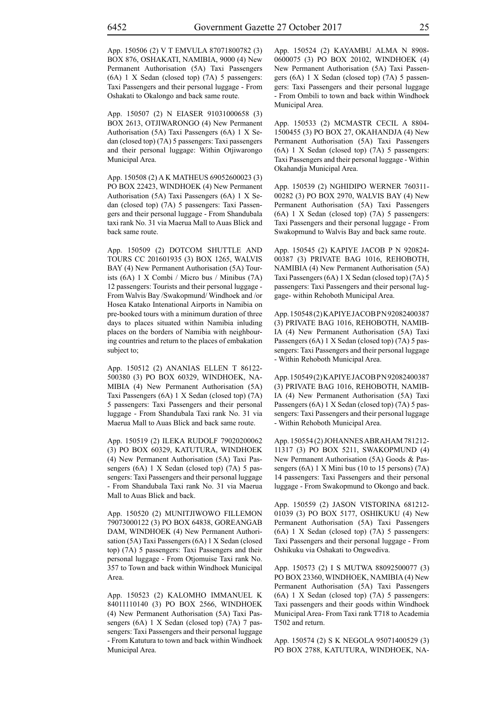App. 150506 (2) V T EMVULA 87071800782 (3) BOX 876, OSHAKATI, NAMIBIA, 9000 (4) New Permanent Authorisation (5A) Taxi Passengers (6A) 1 X Sedan (closed top) (7A) 5 passengers: Taxi Passengers and their personal luggage - From Oshakati to Okalongo and back same route.

App. 150507 (2) N EIASER 91031000658 (3) BOX 2613, OTJIWARONGO (4) New Permanent Authorisation (5A) Taxi Passengers (6A) 1 X Sedan (closed top) (7A) 5 passengers: Taxi passengers and their personal luggage: Within Otjiwarongo Municipal Area.

App. 150508 (2) A K MATHEUS 69052600023 (3) PO BOX 22423, WINDHOEK (4) New Permanent Authorisation (5A) Taxi Passengers (6A) 1 X Sedan (closed top) (7A) 5 passengers: Taxi Passengers and their personal luggage - From Shandubala taxi rank No. 31 via Maerua Mall to Auas Blick and back same route.

App. 150509 (2) DOTCOM SHUTTLE AND TOURS CC 201601935 (3) BOX 1265, WALVIS BAY (4) New Permanent Authorisation (5A) Tourists (6A) 1 X Combi / Micro bus / Minibus (7A) 12 passengers: Tourists and their personal luggage - From Walvis Bay /Swakopmund/ Windhoek and /or Hosea Katako Intenational Airports in Namibia on pre-booked tours with a minimum duration of three days to places situated within Namibia inluding places on the borders of Namibia with neighbouring countries and return to the places of embakation subject to;

App. 150512 (2) ANANIAS ELLEN T 86122- 500380 (3) PO BOX 60329, WINDHOEK, NA-MIBIA (4) New Permanent Authorisation (5A) Taxi Passengers (6A) 1 X Sedan (closed top) (7A) 5 passengers: Taxi Passengers and their personal luggage - From Shandubala Taxi rank No. 31 via Maerua Mall to Auas Blick and back same route.

App. 150519 (2) ILEKA RUDOLF 79020200062 (3) PO BOX 60329, KATUTURA, WINDHOEK (4) New Permanent Authorisation (5A) Taxi Passengers (6A) 1 X Sedan (closed top) (7A) 5 passengers: Taxi Passengers and their personal luggage - From Shandubala Taxi rank No. 31 via Maerua Mall to Auas Blick and back.

App. 150520 (2) MUNITJIWOWO FILLEMON 79073000122 (3) PO BOX 64838, GOREANGAB DAM, WINDHOEK (4) New Permanent Authorisation (5A) Taxi Passengers (6A) 1 X Sedan (closed top) (7A) 5 passengers: Taxi Passengers and their personal luggage - From Otjomuise Taxi rank No. 357 to Town and back within Windhoek Municipal Area.

App. 150523 (2) KALOMHO IMMANUEL K 84011110140 (3) PO BOX 2566, WINDHOEK (4) New Permanent Authorisation (5A) Taxi Passengers (6A) 1 X Sedan (closed top) (7A) 7 passengers: Taxi Passengers and their personal luggage - From Katutura to town and back within Windhoek Municipal Area.

App. 150524 (2) KAYAMBU ALMA N 8908- 0600075 (3) PO BOX 20102, WINDHOEK (4) New Permanent Authorisation (5A) Taxi Passengers (6A) 1 X Sedan (closed top) (7A) 5 passengers: Taxi Passengers and their personal luggage - From Ombili to town and back within Windhoek Municipal Area.

App. 150533 (2) MCMASTR CECIL A 8804- 1500455 (3) PO BOX 27, OKAHANDJA (4) New Permanent Authorisation (5A) Taxi Passengers (6A) 1 X Sedan (closed top) (7A) 5 passengers: Taxi Passengers and their personal luggage - Within Okahandja Municipal Area.

App. 150539 (2) NGHIDIPO WERNER 760311- 00282 (3) PO BOX 2970, WALVIS BAY (4) New Permanent Authorisation (5A) Taxi Passengers (6A) 1 X Sedan (closed top) (7A) 5 passengers: Taxi Passengers and their personal luggage - From Swakopmund to Walvis Bay and back same route.

App. 150545 (2) KAPIYE JACOB P N 920824- 00387 (3) PRIVATE BAG 1016, REHOBOTH, NAMIBIA (4) New Permanent Authorisation (5A) Taxi Passengers (6A) 1 X Sedan (closed top) (7A) 5 passengers: Taxi Passengers and their personal luggage- within Rehoboth Municipal Area.

App. 150548(2) KAPIYE JACOB PN 92082400387 (3) PRIVATE BAG 1016, REHOBOTH, NAMIB-IA (4) New Permanent Authorisation (5A) Taxi Passengers (6A) 1 X Sedan (closed top) (7A) 5 passengers: Taxi Passengers and their personal luggage - Within Rehoboth Municipal Area.

App. 150549(2) KAPIYE JACOB PN 92082400387 (3) PRIVATE BAG 1016, REHOBOTH, NAMIB-IA (4) New Permanent Authorisation (5A) Taxi Passengers (6A) 1 X Sedan (closed top) (7A) 5 passengers: Taxi Passengers and their personal luggage - Within Rehoboth Municipal Area.

App. 150554 (2) JOHANNES ABRAHAM 781212- 11317 (3) PO BOX 5211, SWAKOPMUND (4) New Permanent Authorisation (5A) Goods & Passengers (6A) 1 X Mini bus (10 to 15 persons) (7A) 14 passengers: Taxi Passengers and their personal luggage - From Swakopmund to Okongo and back.

App. 150559 (2) JASON VISTORINA 681212- 01039 (3) PO BOX 5177, OSHIKUKU (4) New Permanent Authorisation (5A) Taxi Passengers (6A) 1 X Sedan (closed top) (7A) 5 passengers: Taxi Passengers and their personal luggage - From Oshikuku via Oshakati to Ongwediva.

App. 150573 (2) I S MUTWA 88092500077 (3) PO BOX 23360, WINDHOEK, NAMIBIA (4) New Permanent Authorisation (5A) Taxi Passengers (6A) 1 X Sedan (closed top) (7A) 5 passengers: Taxi passengers and their goods within Windhoek Municipal Area- From Taxi rank T718 to Academia T502 and return.

App. 150574 (2) S K NEGOLA 95071400529 (3) PO BOX 2788, KATUTURA, WINDHOEK, NA-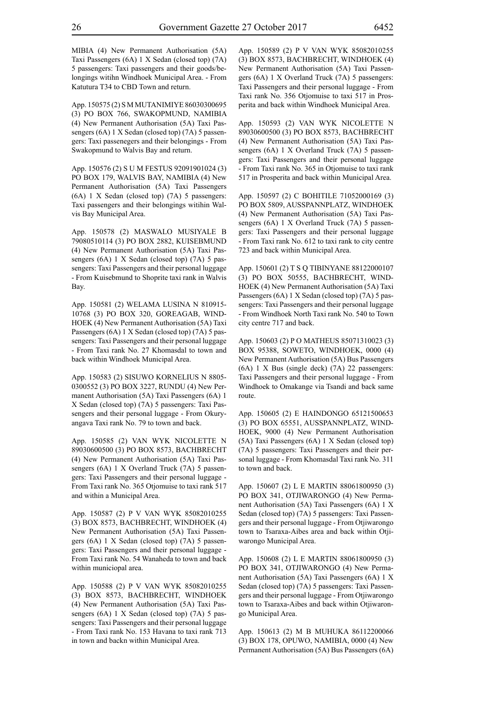MIBIA (4) New Permanent Authorisation (5A) Taxi Passengers (6A) 1 X Sedan (closed top) (7A) 5 passengers: Taxi passengers and their goods/belongings witihn Windhoek Municipal Area. - From Katutura T34 to CBD Town and return.

App. 150575 (2) S M MUTANIMIYE 86030300695 (3) PO BOX 766, SWAKOPMUND, NAMIBIA (4) New Permanent Authorisation (5A) Taxi Passengers (6A) 1 X Sedan (closed top) (7A) 5 passengers: Taxi passenegers and their belongings - From Swakopmund to Walvis Bay and return.

App. 150576 (2) S U M FESTUS 92091901024 (3) PO BOX 179, WALVIS BAY, NAMIBIA (4) New Permanent Authorisation (5A) Taxi Passengers (6A) 1 X Sedan (closed top) (7A) 5 passengers: Taxi passengers and their belongings witihin Walvis Bay Municipal Area.

App. 150578 (2) MASWALO MUSIYALE B 79080510114 (3) PO BOX 2882, KUISEBMUND (4) New Permanent Authorisation (5A) Taxi Passengers (6A) 1 X Sedan (closed top) (7A) 5 passengers: Taxi Passengers and their personal luggage - From Kuisebmund to Shoprite taxi rank in Walvis Bay.

App. 150581 (2) WELAMA LUSINA N 810915- 10768 (3) PO BOX 320, GOREAGAB, WIND-HOEK (4) New Permanent Authorisation (5A) Taxi Passengers (6A) 1 X Sedan (closed top) (7A) 5 passengers: Taxi Passengers and their personal luggage - From Taxi rank No. 27 Khomasdal to town and back within Windhoek Municipal Area.

App. 150583 (2) SISUWO KORNELIUS N 8805- 0300552 (3) PO BOX 3227, RUNDU (4) New Permanent Authorisation (5A) Taxi Passengers (6A) 1 X Sedan (closed top) (7A) 5 passengers: Taxi Passengers and their personal luggage - From Okuryangava Taxi rank No. 79 to town and back.

App. 150585 (2) VAN WYK NICOLETTE N 89030600500 (3) PO BOX 8573, BACHBRECHT (4) New Permanent Authorisation (5A) Taxi Passengers (6A) 1 X Overland Truck (7A) 5 passengers: Taxi Passengers and their personal luggage - From Taxi rank No. 365 Otjomuise to taxi rank 517 and within a Municipal Area.

App. 150587 (2) P V VAN WYK 85082010255 (3) BOX 8573, BACHBRECHT, WINDHOEK (4) New Permanent Authorisation (5A) Taxi Passengers (6A) 1 X Sedan (closed top) (7A) 5 passengers: Taxi Passengers and their personal luggage - From Taxi rank No. 54 Wanaheda to town and back within municiopal area.

App. 150588 (2) P V VAN WYK 85082010255 (3) BOX 8573, BACHBRECHT, WINDHOEK (4) New Permanent Authorisation (5A) Taxi Passengers (6A) 1 X Sedan (closed top) (7A) 5 passengers: Taxi Passengers and their personal luggage - From Taxi rank No. 153 Havana to taxi rank 713 in town and backn within Municipal Area.

App. 150589 (2) P V VAN WYK 85082010255 (3) BOX 8573, BACHBRECHT, WINDHOEK (4) New Permanent Authorisation (5A) Taxi Passengers (6A) 1 X Overland Truck (7A) 5 passengers: Taxi Passengers and their personal luggage - From Taxi rank No. 356 Otjomuise to taxi 517 in Prosperita and back within Windhoek Municipal Area.

App. 150593 (2) VAN WYK NICOLETTE N 89030600500 (3) PO BOX 8573, BACHBRECHT (4) New Permanent Authorisation (5A) Taxi Passengers (6A) 1 X Overland Truck (7A) 5 passengers: Taxi Passengers and their personal luggage - From Taxi rank No. 365 in Otjomuise to taxi rank 517 in Prosperita and back within Municipal Area.

App. 150597 (2) C BOHITILE 71052000169 (3) PO BOX 5809, AUSSPANNPLATZ, WINDHOEK (4) New Permanent Authorisation (5A) Taxi Passengers (6A) 1 X Overland Truck (7A) 5 passengers: Taxi Passengers and their personal luggage - From Taxi rank No. 612 to taxi rank to city centre 723 and back within Municipal Area.

App. 150601 (2) T S Q TIBINYANE 88122000107 (3) PO BOX 50555, BACHBRECHT, WIND-HOEK (4) New Permanent Authorisation (5A) Taxi Passengers (6A) 1 X Sedan (closed top) (7A) 5 passengers: Taxi Passengers and their personal luggage - From Windhoek North Taxi rank No. 540 to Town city centre 717 and back.

App. 150603 (2) P O MATHEUS 85071310023 (3) BOX 95388, SOWETO, WINDHOEK, 0000 (4) New Permanent Authorisation (5A) Bus Passengers (6A) 1 X Bus (single deck) (7A) 22 passengers: Taxi Passengers and their personal luggage - From Windhoek to Omakange via Tsandi and back same route.

App. 150605 (2) E HAINDONGO 65121500653 (3) PO BOX 65551, AUSSPANNPLATZ, WIND-HOEK, 9000 (4) New Permanent Authorisation (5A) Taxi Passengers (6A) 1 X Sedan (closed top) (7A) 5 passengers: Taxi Passengers and their personal luggage - From Khomasdal Taxi rank No. 311 to town and back.

App. 150607 (2) L E MARTIN 88061800950 (3) PO BOX 341, OTJIWARONGO (4) New Permanent Authorisation (5A) Taxi Passengers (6A) 1 X Sedan (closed top) (7A) 5 passengers: Taxi Passengers and their personal luggage - From Otjiwarongo town to Tsaraxa-Aibes area and back within Otjiwarongo Municipal Area.

App. 150608 (2) L E MARTIN 88061800950 (3) PO BOX 341, OTJIWARONGO (4) New Permanent Authorisation (5A) Taxi Passengers (6A) 1 X Sedan (closed top) (7A) 5 passengers: Taxi Passengers and their personal luggage - From Otjiwarongo town to Tsaraxa-Aibes and back within Otjiwarongo Municipal Area.

App. 150613 (2) M B MUHUKA 86112200066 (3) BOX 178, OPUWO, NAMIBIA, 0000 (4) New Permanent Authorisation (5A) Bus Passengers (6A)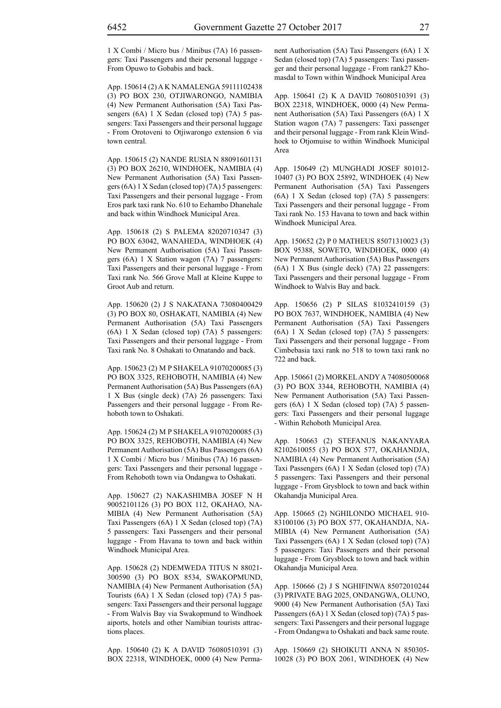1 X Combi / Micro bus / Minibus (7A) 16 passengers: Taxi Passengers and their personal luggage - From Opuwo to Gobabis and back.

App. 150614 (2) A K NAMALENGA 59111102438 (3) PO BOX 230, OTJIWARONGO, NAMIBIA (4) New Permanent Authorisation (5A) Taxi Passengers (6A) 1 X Sedan (closed top) (7A) 5 passengers: Taxi Passengers and their personal luggage - From Orotoveni to Otjiwarongo extension 6 via town central.

App. 150615 (2) NANDE RUSIA N 88091601131 (3) PO BOX 26210, WINDHOEK, NAMIBIA (4) New Permanent Authorisation (5A) Taxi Passengers (6A) 1 X Sedan (closed top) (7A) 5 passengers: Taxi Passengers and their personal luggage - From Eros park taxi rank No. 610 to Eehambo Dhanehale and back within Windhoek Municipal Area.

App. 150618 (2) S PALEMA 82020710347 (3) PO BOX 63042, WANAHEDA, WINDHOEK (4) New Permanent Authorisation (5A) Taxi Passengers (6A) 1 X Station wagon (7A) 7 passengers: Taxi Passengers and their personal luggage - From Taxi rank No. 566 Grove Mall at Kleine Kuppe to Groot Aub and return.

App. 150620 (2) J S NAKATANA 73080400429 (3) PO BOX 80, OSHAKATI, NAMIBIA (4) New Permanent Authorisation (5A) Taxi Passengers (6A) 1 X Sedan (closed top) (7A) 5 passengers: Taxi Passengers and their personal luggage - From Taxi rank No. 8 Oshakati to Omatando and back.

App. 150623 (2) M P SHAKELA 91070200085 (3) PO BOX 3325, REHOBOTH, NAMIBIA (4) New Permanent Authorisation (5A) Bus Passengers (6A) 1 X Bus (single deck) (7A) 26 passengers: Taxi Passengers and their personal luggage - From Rehoboth town to Oshakati.

App. 150624 (2) M P SHAKELA 91070200085 (3) PO BOX 3325, REHOBOTH, NAMIBIA (4) New Permanent Authorisation (5A) Bus Passengers (6A) 1 X Combi / Micro bus / Minibus (7A) 16 passengers: Taxi Passengers and their personal luggage - From Rehoboth town via Ondangwa to Oshakati.

App. 150627 (2) NAKASHIMBA JOSEF N H 90052101126 (3) PO BOX 112, OKAHAO, NA-MIBIA (4) New Permanent Authorisation (5A) Taxi Passengers (6A) 1 X Sedan (closed top) (7A) 5 passengers: Taxi Passengers and their personal luggage - From Havana to town and back within Windhoek Municipal Area.

App. 150628 (2) NDEMWEDA TITUS N 88021- 300590 (3) PO BOX 8534, SWAKOPMUND, NAMIBIA (4) New Permanent Authorisation (5A) Tourists (6A) 1 X Sedan (closed top) (7A) 5 passengers: Taxi Passengers and their personal luggage - From Walvis Bay via Swakopmund to Windhoek aiports, hotels and other Namibian tourists attractions places.

App. 150640 (2) K A DAVID 76080510391 (3) BOX 22318, WINDHOEK, 0000 (4) New Permanent Authorisation (5A) Taxi Passengers (6A) 1 X Sedan (closed top) (7A) 5 passengers: Taxi passenger and their personal luggage - From rank27 Khomasdal to Town within Windhoek Municipal Area

App. 150641 (2) K A DAVID 76080510391 (3) BOX 22318, WINDHOEK, 0000 (4) New Permanent Authorisation (5A) Taxi Passengers (6A) 1 X Station wagon (7A) 7 passengers: Taxi passenger and their personal luggage - From rank Klein Windhoek to Otjomuise to within Windhoek Municipal Area

App. 150649 (2) MUNGHADI JOSEF 801012- 10407 (3) PO BOX 25892, WINDHOEK (4) New Permanent Authorisation (5A) Taxi Passengers (6A) 1 X Sedan (closed top) (7A) 5 passengers: Taxi Passengers and their personal luggage - From Taxi rank No. 153 Havana to town and back within Windhoek Municipal Area.

App. 150652 (2) P 0 MATHEUS 85071310023 (3) BOX 95388, SOWETO, WINDHOEK, 0000 (4) New Permanent Authorisation (5A) Bus Passengers (6A) 1 X Bus (single deck) (7A) 22 passengers: Taxi Passengers and their personal luggage - From Windhoek to Walvis Bay and back.

App. 150656 (2) P SILAS 81032410159 (3) PO BOX 7637, WINDHOEK, NAMIBIA (4) New Permanent Authorisation (5A) Taxi Passengers (6A) 1 X Sedan (closed top) (7A) 5 passengers: Taxi Passengers and their personal luggage - From Cimbebasia taxi rank no 518 to town taxi rank no 722 and back.

App. 150661 (2) MORKEL ANDY A 74080500068 (3) PO BOX 3344, REHOBOTH, NAMIBIA (4) New Permanent Authorisation (5A) Taxi Passengers (6A) 1 X Sedan (closed top) (7A) 5 passengers: Taxi Passengers and their personal luggage - Within Rehoboth Municipal Area.

App. 150663 (2) STEFANUS NAKANYARA 82102610055 (3) PO BOX 577, OKAHANDJA, NAMIBIA (4) New Permanent Authorisation (5A) Taxi Passengers (6A) 1 X Sedan (closed top) (7A) 5 passengers: Taxi Passengers and their personal luggage - From Grysblock to town and back within Okahandja Municipal Area.

App. 150665 (2) NGHILONDO MICHAEL 910- 83100106 (3) PO BOX 577, OKAHANDJA, NA-MIBIA (4) New Permanent Authorisation (5A) Taxi Passengers (6A) 1 X Sedan (closed top) (7A) 5 passengers: Taxi Passengers and their personal luggage - From Grysblock to town and back within Okahandja Municipal Area.

App. 150666 (2) J S NGHIFINWA 85072010244 (3) PRIVATE BAG 2025, ONDANGWA, OLUNO, 9000 (4) New Permanent Authorisation (5A) Taxi Passengers (6A) 1 X Sedan (closed top) (7A) 5 passengers: Taxi Passengers and their personal luggage - From Ondangwa to Oshakati and back same route.

App. 150669 (2) SHOIKUTI ANNA N 850305- 10028 (3) PO BOX 2061, WINDHOEK (4) New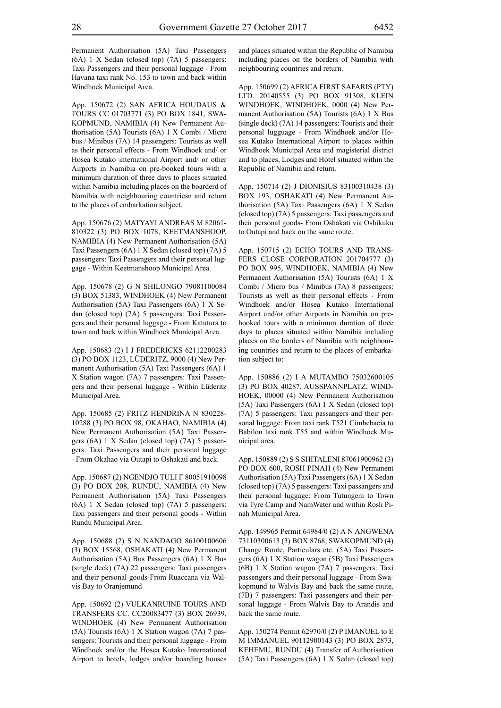Permanent Authorisation (5A) Taxi Passengers (6A) 1 X Sedan (closed top) (7A) 5 passengers: Taxi Passengers and their personal luggage - From Havana taxi rank No. 153 to town and back within Windhoek Municipal Area.

App. 150672 (2) SAN AFRICA HOUDAUS & TOURS CC 01703771 (3) PO BOX 1841, SWA-KOPMUND, NAMIBIA (4) New Permanent Authorisation (5A) Tourists (6A) 1 X Combi / Micro bus / Minibus (7A) 14 passengers: Tourists as well as their personal effects - From Windhoek and/ or Hosea Kutako international Airport and/ or other Airports in Namibia on pre-booked tours with a minimum duration of three days to places situated within Namibia including places on the boarderd of Namibia with neighbouring countriesn and return to the places of embarkation subject.

App. 150676 (2) MATYAYI ANDREAS M 82061- 810322 (3) PO BOX 1078, KEETMANSHOOP, NAMIBIA (4) New Permanent Authorisation (5A) Taxi Passengers (6A) 1 X Sedan (closed top) (7A) 5 passengers: Taxi Passengers and their personal luggage - Within Keetmanshoop Municipal Area.

App. 150678 (2) G N SHILONGO 79081100084 (3) BOX 51383, WINDHOEK (4) New Permanent Authorisation (5A) Taxi Passengers (6A) 1 X Sedan (closed top) (7A) 5 passengers: Taxi Passengers and their personal luggage - From Katutura to town and back within Windhoek Municipal Area.

App. 150683 (2) I J FREDERICKS 62112200283 (3) PO BOX 1123, LÜDERITZ, 9000 (4) New Permanent Authorisation (5A) Taxi Passengers (6A) 1 X Station wagon (7A) 7 passengers: Taxi Passengers and their personal luggage - Within Lüderitz Municipal Area.

App. 150685 (2) FRITZ HENDRINA N 830228- 10288 (3) PO BOX 98, OKAHAO, NAMIBIA (4) New Permanent Authorisation (5A) Taxi Passengers (6A) 1 X Sedan (closed top) (7A) 5 passengers: Taxi Passengers and their personal luggage - From Okahao via Outapi to Oshakati and back.

App. 150687 (2) NGENDJO TULI F 80051910098 (3) PO BOX 208, RUNDU, NAMIBIA (4) New Permanent Authorisation (5A) Taxi Passengers (6A) 1 X Sedan (closed top) (7A) 5 passengers: Taxi passengers and their personal goods - Within Rundu Municipal Area.

App. 150688 (2) S N NANDAGO 86100100606 (3) BOX 15568, OSHAKATI (4) New Permanent Authorisation (5A) Bus Passengers (6A) 1 X Bus (single deck) (7A) 22 passengers: Taxi passengers and their personal goods-From Ruaccana via Walvis Bay to Oranjemund

App. 150692 (2) VULKANRUINE TOURS AND TRANSFERS CC. CC20083477 (3) BOX 26939, WINDHOEK (4) New Permanent Authorisation (5A) Tourists (6A) 1 X Station wagon (7A) 7 passengers: Tourists and their personal luggage - From Windhoek and/or the Hosea Kutako International Airport to hotels, lodges and/or boarding houses and places situated within the Republic of Namibia including places on the borders of Namibia with neighbouring countries and return.

App. 150699 (2) AFRICA FIRST SAFARIS (PTY) LTD. 20140555 (3) PO BOX 91308, KLEIN WINDHOEK, WINDHOEK, 0000 (4) New Permanent Authorisation (5A) Tourists (6A) 1 X Bus (single deck) (7A) 14 passengers: Tourists and their personal lugguage - From Windhoek and/or Hosea Kutako International Airport to places within Windhoek Municipal Area and magisterial district and to places, Lodges and Hotel situated within the Republic of Namibia and return.

App. 150714 (2) J DIONISIUS 83100310438 (3) BOX 193, OSHAKATI (4) New Permanent Authorisation (5A) Taxi Passengers (6A) 1 X Sedan (closed top) (7A) 5 passengers: Taxi passengers and their personal goods- From Oshakati via Oshikuku to Outapi and back on the same route.

App. 150715 (2) ECHO TOURS AND TRANS-FERS CLOSE CORPORATION 201704777 (3) PO BOX 995, WINDHOEK, NAMIBIA (4) New Permanent Authorisation (5A) Tourists (6A) 1 X Combi / Micro bus / Minibus (7A) 8 passengers: Tourists as well as their personal effects - From Windhoek and/or Hosea Kutako International Airport and/or other Airports in Namibia on prebooked tours with a minimum duration of three days to places situated within Namibia including places on the borders of Namibia with neighbouring countries and return to the places of embarkation subject to:

App. 150886 (2) I A MUTAMBO 75032600105 (3) PO BOX 40287, AUSSPANNPLATZ, WIND-HOEK, 00000 (4) New Permanent Authorisation (5A) Taxi Passengers (6A) 1 X Sedan (closed top) (7A) 5 passengers: Taxi passangers and their personal luggage: From taxi rank T521 Cimbebacia to Babilon taxi rank T55 and within Windhoek Municipal area.

App. 150889 (2) S S SHITALENI 87061900962 (3) PO BOX 600, ROSH PINAH (4) New Permanent Authorisation (5A) Taxi Passengers (6A) 1 X Sedan (closed top) (7A) 5 passengers: Taxi passangers and their personal luggage: From Tutungeni to Town via Tyre Camp and NamWater and within Rosh Pinah Municipal Area.

App. 149965 Permit 64984/0 (2) A N ANGWENA 73110300613 (3) BOX 8768, SWAKOPMUND (4) Change Route, Particulars etc. (5A) Taxi Passengers (6A) 1 X Station wagon (5B) Taxi Passengers (6B) 1 X Station wagon (7A) 7 passengers: Taxi passengers and their personal luggage - From Swakopmund to Walvis Bay and back the same route. (7B) 7 passengers: Taxi passengers and their personal luggage - From Walvis Bay to Arandis and back the same route.

App. 150274 Permit 62970/0 (2) P IMANUEL to E M IMMANUEL 90112900143 (3) PO BOX 2873, KEHEMU, RUNDU (4) Transfer of Authorisation (5A) Taxi Passengers (6A) 1 X Sedan (closed top)